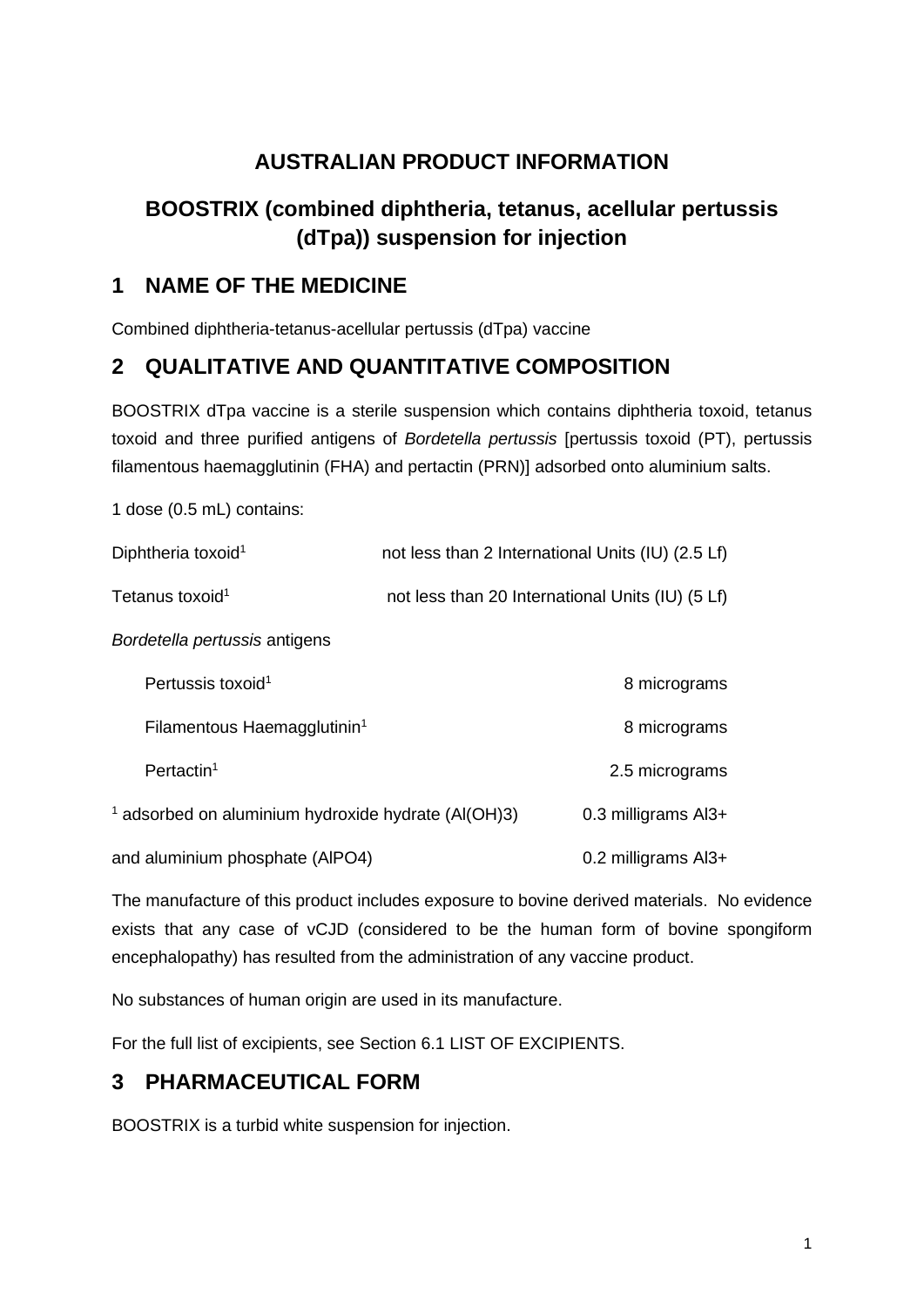# **AUSTRALIAN PRODUCT INFORMATION**

# **BOOSTRIX (combined diphtheria, tetanus, acellular pertussis (dTpa)) suspension for injection**

# **1 NAME OF THE MEDICINE**

Combined diphtheria-tetanus-acellular pertussis (dTpa) vaccine

# **2 QUALITATIVE AND QUANTITATIVE COMPOSITION**

BOOSTRIX dTpa vaccine is a sterile suspension which contains diphtheria toxoid, tetanus toxoid and three purified antigens of *Bordetella pertussis* [pertussis toxoid (PT), pertussis filamentous haemagglutinin (FHA) and pertactin (PRN)] adsorbed onto aluminium salts.

1 dose (0.5 mL) contains: Diphtheria toxoid<sup>1</sup> not less than 2 International Units (IU) (2.5 Lf) Tetanus toxoid<sup>1</sup> not less than 20 International Units (IU) (5 Lf) *Bordetella pertussis* antigens Pertussis toxoid<sup>1</sup> 8 micrograms Filamentous Haemagglutinin<sup>1</sup> and the control of the system of the system of the system of the system of the system of the system of the system of the system of the system of the system of the system of the system of the s Pertactin<sup>1</sup> 2.5 micrograms  $1$  adsorbed on aluminium hydroxide hydrate (Al(OH)3)  $0.3$  milligrams Al3+ and aluminium phosphate (AlPO4) 0.2 milligrams Al3+

The manufacture of this product includes exposure to bovine derived materials. No evidence exists that any case of vCJD (considered to be the human form of bovine spongiform encephalopathy) has resulted from the administration of any vaccine product.

No substances of human origin are used in its manufacture.

For the full list of excipients, see Section 6.1 LIST OF EXCIPIENTS.

# **3 PHARMACEUTICAL FORM**

BOOSTRIX is a turbid white suspension for injection.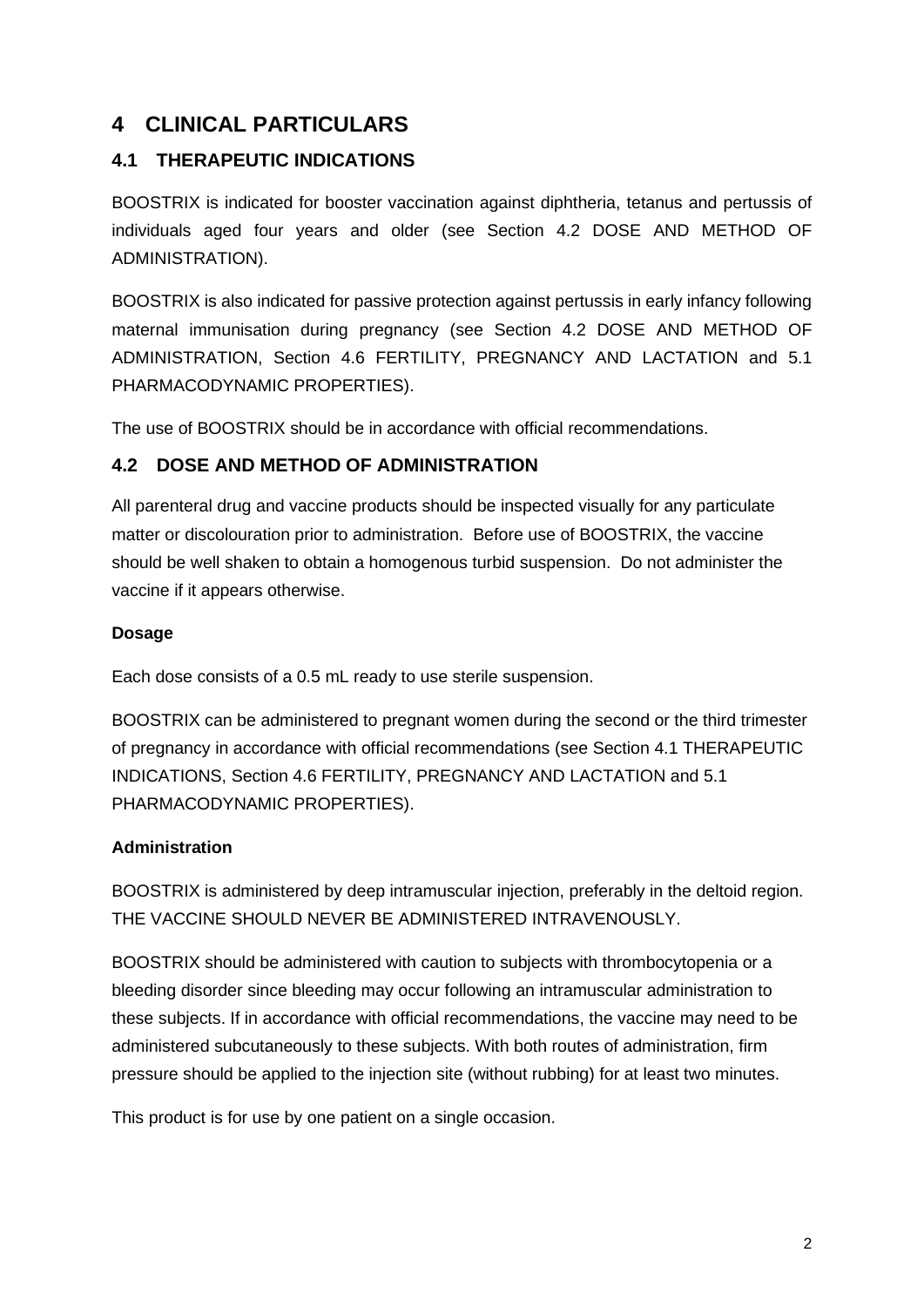# **4 CLINICAL PARTICULARS**

## **4.1 THERAPEUTIC INDICATIONS**

BOOSTRIX is indicated for booster vaccination against diphtheria, tetanus and pertussis of individuals aged four years and older (see Section 4.2 DOSE AND METHOD OF ADMINISTRATION).

BOOSTRIX is also indicated for passive protection against pertussis in early infancy following maternal immunisation during pregnancy (see Section 4.2 DOSE AND METHOD OF ADMINISTRATION, Section 4.6 FERTILITY, PREGNANCY AND LACTATION and 5.1 PHARMACODYNAMIC PROPERTIES).

The use of BOOSTRIX should be in accordance with official recommendations.

## **4.2 DOSE AND METHOD OF ADMINISTRATION**

All parenteral drug and vaccine products should be inspected visually for any particulate matter or discolouration prior to administration. Before use of BOOSTRIX, the vaccine should be well shaken to obtain a homogenous turbid suspension. Do not administer the vaccine if it appears otherwise.

#### **Dosage**

Each dose consists of a 0.5 mL ready to use sterile suspension.

BOOSTRIX can be administered to pregnant women during the second or the third trimester of pregnancy in accordance with official recommendations (see Section 4.1 THERAPEUTIC INDICATIONS, Section 4.6 FERTILITY, PREGNANCY AND LACTATION and 5.1 PHARMACODYNAMIC PROPERTIES).

## **Administration**

BOOSTRIX is administered by deep intramuscular injection, preferably in the deltoid region. THE VACCINE SHOULD NEVER BE ADMINISTERED INTRAVENOUSLY.

BOOSTRIX should be administered with caution to subjects with thrombocytopenia or a bleeding disorder since bleeding may occur following an intramuscular administration to these subjects. If in accordance with official recommendations, the vaccine may need to be administered subcutaneously to these subjects. With both routes of administration, firm pressure should be applied to the injection site (without rubbing) for at least two minutes.

This product is for use by one patient on a single occasion.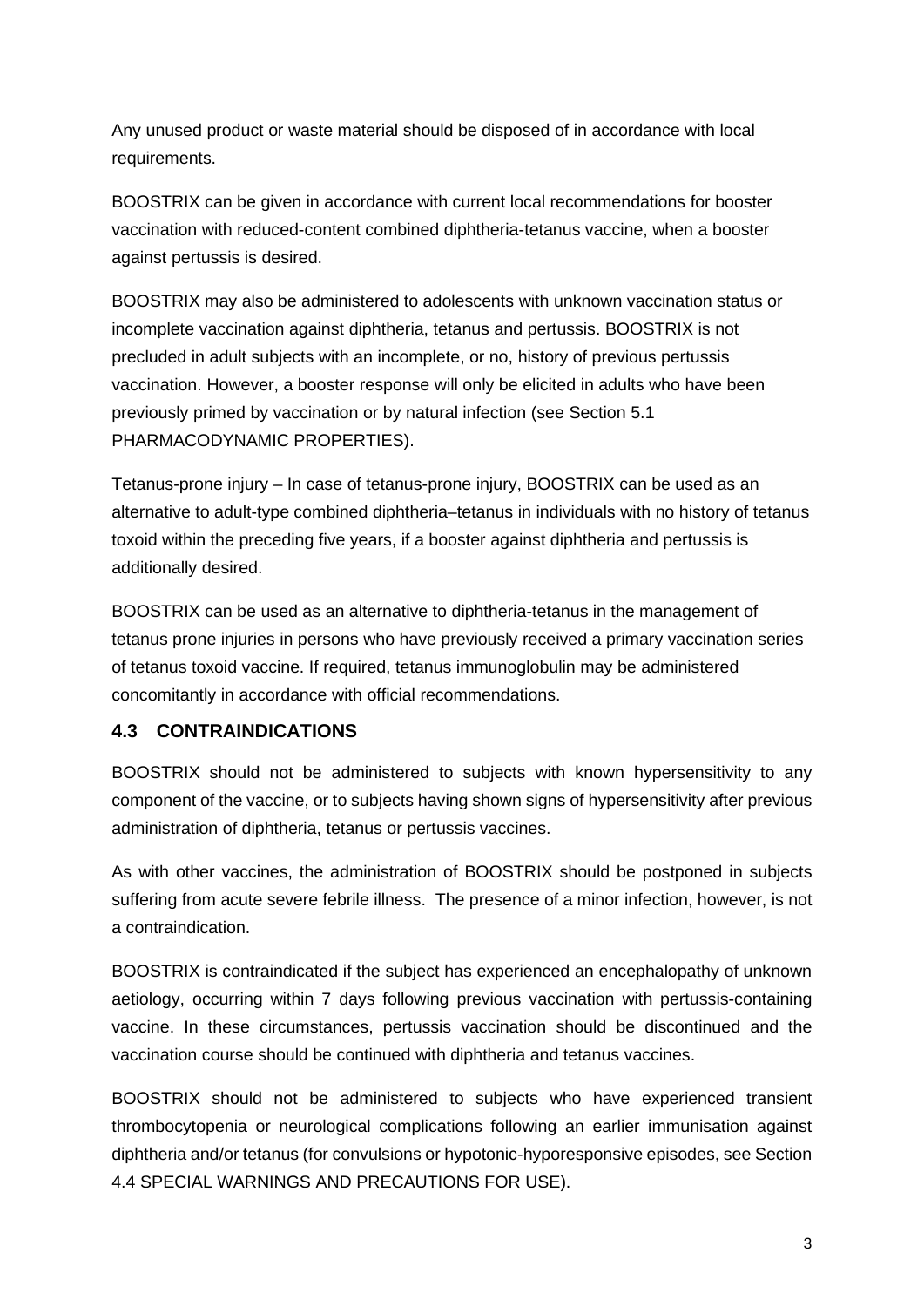Any unused product or waste material should be disposed of in accordance with local requirements.

BOOSTRIX can be given in accordance with current local recommendations for booster vaccination with reduced-content combined diphtheria-tetanus vaccine, when a booster against pertussis is desired.

BOOSTRIX may also be administered to adolescents with unknown vaccination status or incomplete vaccination against diphtheria, tetanus and pertussis. BOOSTRIX is not precluded in adult subjects with an incomplete, or no, history of previous pertussis vaccination. However, a booster response will only be elicited in adults who have been previously primed by vaccination or by natural infection (see Section 5.1 PHARMACODYNAMIC PROPERTIES).

Tetanus-prone injury – In case of tetanus-prone injury, BOOSTRIX can be used as an alternative to adult-type combined diphtheria–tetanus in individuals with no history of tetanus toxoid within the preceding five years, if a booster against diphtheria and pertussis is additionally desired.

BOOSTRIX can be used as an alternative to diphtheria-tetanus in the management of tetanus prone injuries in persons who have previously received a primary vaccination series of tetanus toxoid vaccine. If required, tetanus immunoglobulin may be administered concomitantly in accordance with official recommendations.

## **4.3 CONTRAINDICATIONS**

BOOSTRIX should not be administered to subjects with known hypersensitivity to any component of the vaccine, or to subjects having shown signs of hypersensitivity after previous administration of diphtheria, tetanus or pertussis vaccines.

As with other vaccines, the administration of BOOSTRIX should be postponed in subjects suffering from acute severe febrile illness. The presence of a minor infection, however, is not a contraindication.

BOOSTRIX is contraindicated if the subject has experienced an encephalopathy of unknown aetiology, occurring within 7 days following previous vaccination with pertussis-containing vaccine. In these circumstances, pertussis vaccination should be discontinued and the vaccination course should be continued with diphtheria and tetanus vaccines.

BOOSTRIX should not be administered to subjects who have experienced transient thrombocytopenia or neurological complications following an earlier immunisation against diphtheria and/or tetanus (for convulsions or hypotonic-hyporesponsive episodes, see Section 4.4 SPECIAL WARNINGS AND PRECAUTIONS FOR USE).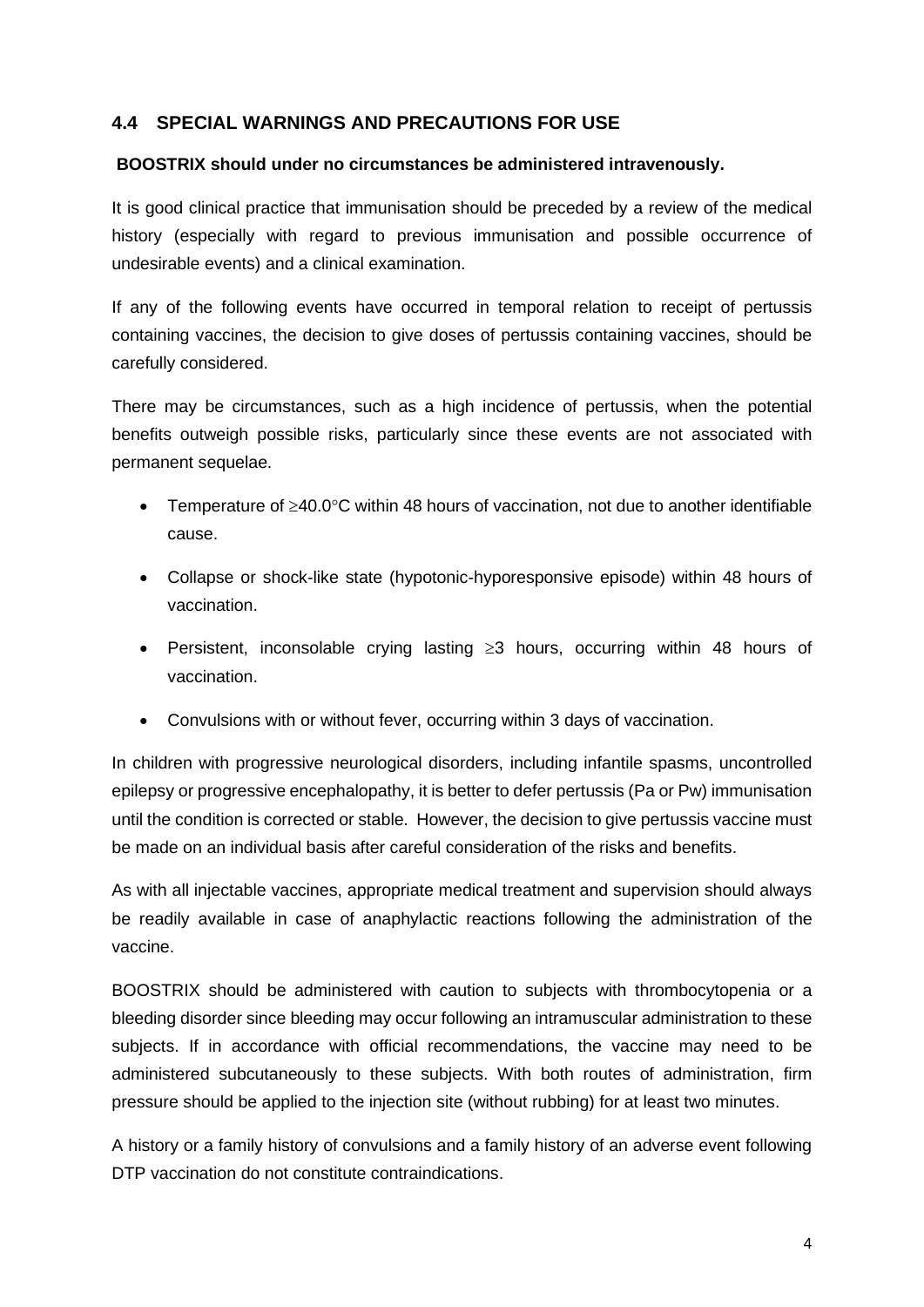### **4.4 SPECIAL WARNINGS AND PRECAUTIONS FOR USE**

#### **BOOSTRIX should under no circumstances be administered intravenously.**

It is good clinical practice that immunisation should be preceded by a review of the medical history (especially with regard to previous immunisation and possible occurrence of undesirable events) and a clinical examination.

If any of the following events have occurred in temporal relation to receipt of pertussis containing vaccines, the decision to give doses of pertussis containing vaccines, should be carefully considered.

There may be circumstances, such as a high incidence of pertussis, when the potential benefits outweigh possible risks, particularly since these events are not associated with permanent sequelae.

- Temperature of ≥40.0°C within 48 hours of vaccination, not due to another identifiable cause.
- Collapse or shock-like state (hypotonic-hyporesponsive episode) within 48 hours of vaccination.
- Persistent, inconsolable crying lasting ≥3 hours, occurring within 48 hours of vaccination.
- Convulsions with or without fever, occurring within 3 days of vaccination.

In children with progressive neurological disorders, including infantile spasms, uncontrolled epilepsy or progressive encephalopathy, it is better to defer pertussis (Pa or Pw) immunisation until the condition is corrected or stable. However, the decision to give pertussis vaccine must be made on an individual basis after careful consideration of the risks and benefits.

As with all injectable vaccines, appropriate medical treatment and supervision should always be readily available in case of anaphylactic reactions following the administration of the vaccine.

BOOSTRIX should be administered with caution to subjects with thrombocytopenia or a bleeding disorder since bleeding may occur following an intramuscular administration to these subjects. If in accordance with official recommendations, the vaccine may need to be administered subcutaneously to these subjects. With both routes of administration, firm pressure should be applied to the injection site (without rubbing) for at least two minutes.

A history or a family history of convulsions and a family history of an adverse event following DTP vaccination do not constitute contraindications.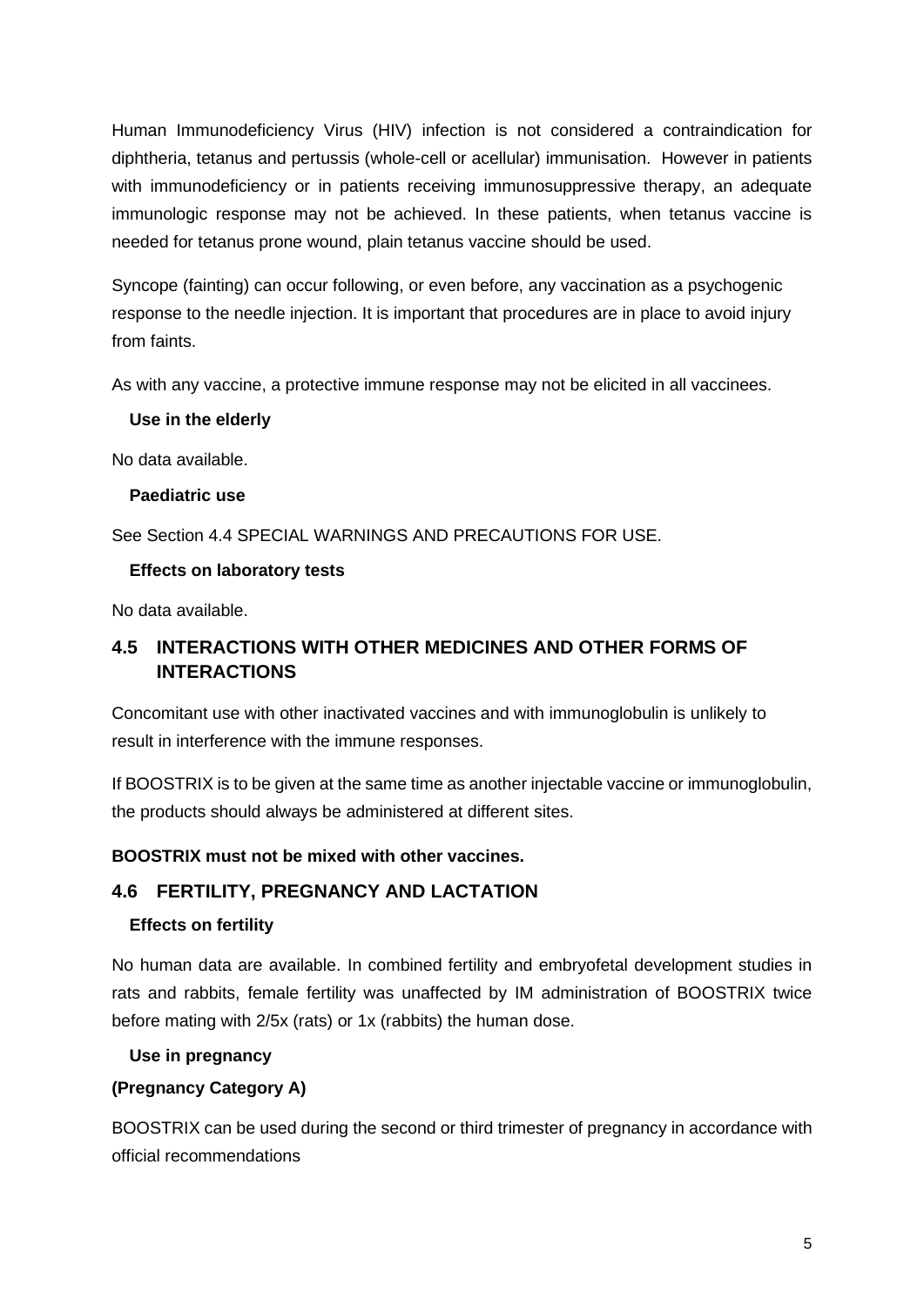Human Immunodeficiency Virus (HIV) infection is not considered a contraindication for diphtheria, tetanus and pertussis (whole-cell or acellular) immunisation. However in patients with immunodeficiency or in patients receiving immunosuppressive therapy, an adequate immunologic response may not be achieved. In these patients, when tetanus vaccine is needed for tetanus prone wound, plain tetanus vaccine should be used.

Syncope (fainting) can occur following, or even before, any vaccination as a psychogenic response to the needle injection. It is important that procedures are in place to avoid injury from faints.

As with any vaccine, a protective immune response may not be elicited in all vaccinees.

### **Use in the elderly**

No data available.

## **Paediatric use**

See Section 4.4 SPECIAL WARNINGS AND PRECAUTIONS FOR USE.

### **Effects on laboratory tests**

No data available.

## **4.5 INTERACTIONS WITH OTHER MEDICINES AND OTHER FORMS OF INTERACTIONS**

Concomitant use with other inactivated vaccines and with immunoglobulin is unlikely to result in interference with the immune responses.

If BOOSTRIX is to be given at the same time as another injectable vaccine or immunoglobulin, the products should always be administered at different sites.

## **BOOSTRIX must not be mixed with other vaccines.**

## **4.6 FERTILITY, PREGNANCY AND LACTATION**

## **Effects on fertility**

No human data are available. In combined fertility and embryofetal development studies in rats and rabbits, female fertility was unaffected by IM administration of BOOSTRIX twice before mating with 2/5x (rats) or 1x (rabbits) the human dose.

#### **Use in pregnancy**

## **(Pregnancy Category A)**

BOOSTRIX can be used during the second or third trimester of pregnancy in accordance with official recommendations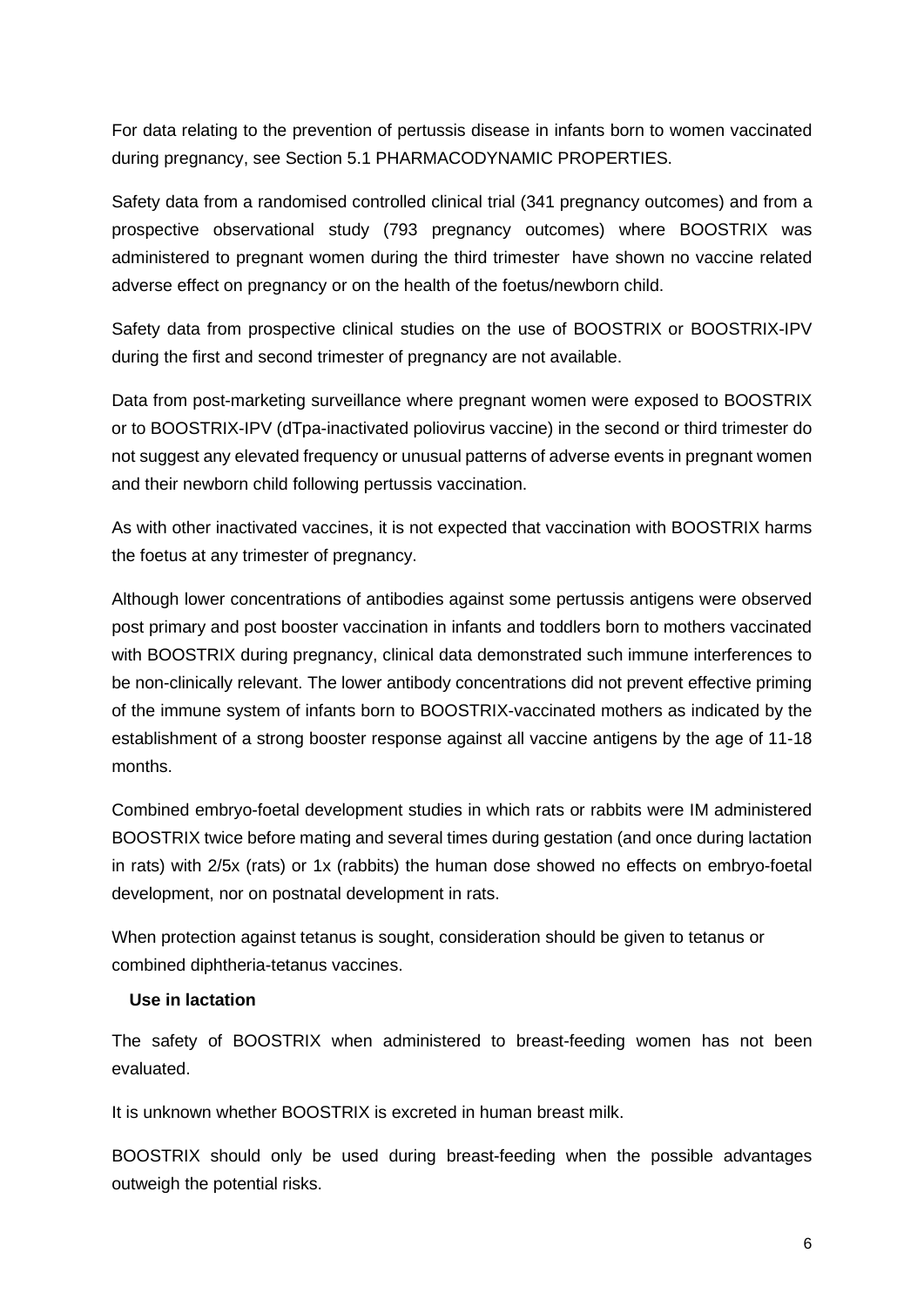For data relating to the prevention of pertussis disease in infants born to women vaccinated during pregnancy, see Section 5.1 PHARMACODYNAMIC PROPERTIES.

Safety data from a randomised controlled clinical trial (341 pregnancy outcomes) and from a prospective observational study (793 pregnancy outcomes) where BOOSTRIX was administered to pregnant women during the third trimester have shown no vaccine related adverse effect on pregnancy or on the health of the foetus/newborn child.

Safety data from prospective clinical studies on the use of BOOSTRIX or BOOSTRIX-IPV during the first and second trimester of pregnancy are not available.

Data from post-marketing surveillance where pregnant women were exposed to BOOSTRIX or to BOOSTRIX-IPV (dTpa-inactivated poliovirus vaccine) in the second or third trimester do not suggest any elevated frequency or unusual patterns of adverse events in pregnant women and their newborn child following pertussis vaccination.

As with other inactivated vaccines, it is not expected that vaccination with BOOSTRIX harms the foetus at any trimester of pregnancy.

Although lower concentrations of antibodies against some pertussis antigens were observed post primary and post booster vaccination in infants and toddlers born to mothers vaccinated with BOOSTRIX during pregnancy, clinical data demonstrated such immune interferences to be non-clinically relevant. The lower antibody concentrations did not prevent effective priming of the immune system of infants born to BOOSTRIX-vaccinated mothers as indicated by the establishment of a strong booster response against all vaccine antigens by the age of 11-18 months.

Combined embryo-foetal development studies in which rats or rabbits were IM administered BOOSTRIX twice before mating and several times during gestation (and once during lactation in rats) with 2/5x (rats) or 1x (rabbits) the human dose showed no effects on embryo-foetal development, nor on postnatal development in rats.

When protection against tetanus is sought, consideration should be given to tetanus or combined diphtheria-tetanus vaccines.

#### **Use in lactation**

The safety of BOOSTRIX when administered to breast-feeding women has not been evaluated.

It is unknown whether BOOSTRIX is excreted in human breast milk.

BOOSTRIX should only be used during breast-feeding when the possible advantages outweigh the potential risks.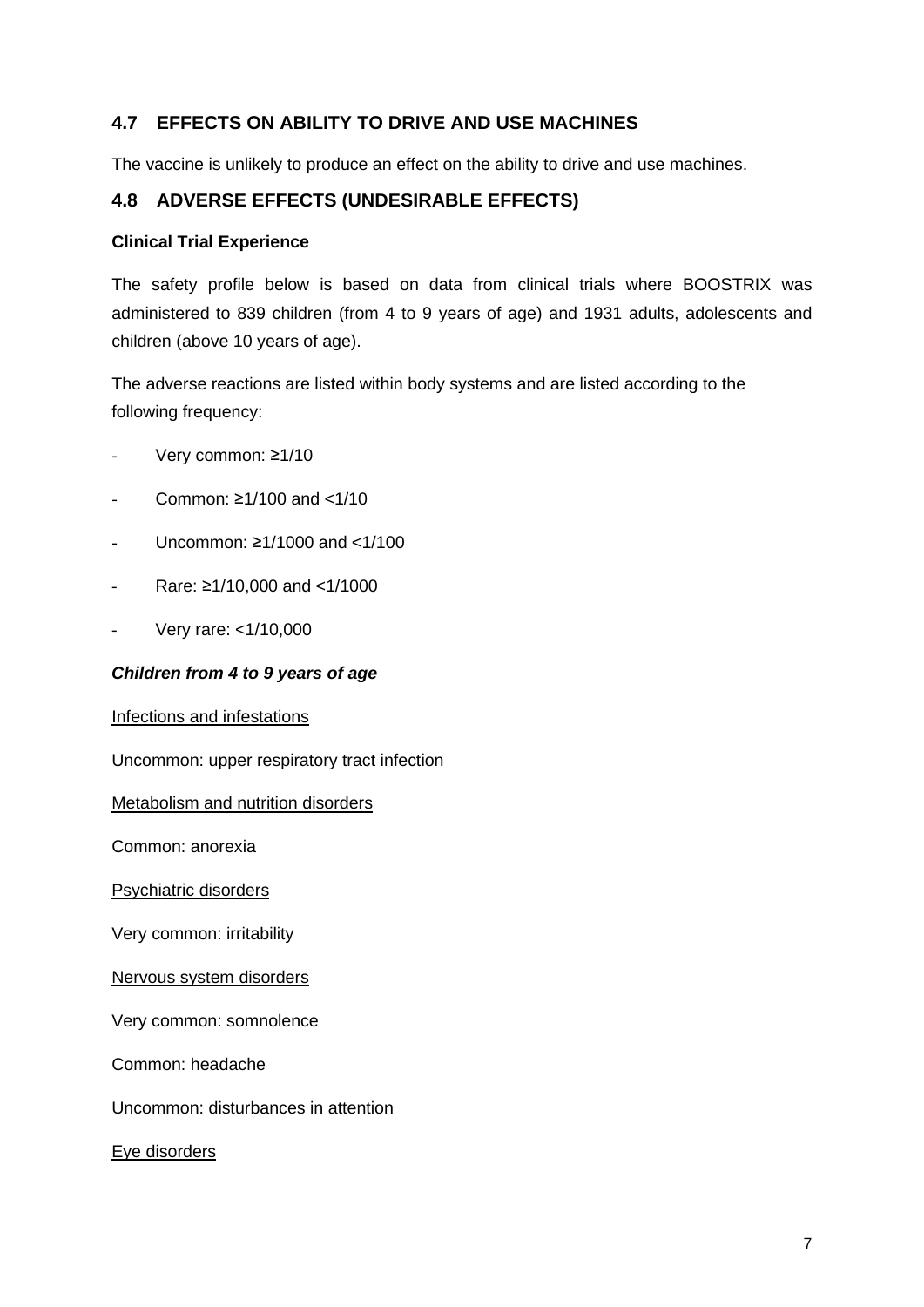## **4.7 EFFECTS ON ABILITY TO DRIVE AND USE MACHINES**

The vaccine is unlikely to produce an effect on the ability to drive and use machines.

## **4.8 ADVERSE EFFECTS (UNDESIRABLE EFFECTS)**

#### **Clinical Trial Experience**

The safety profile below is based on data from clinical trials where BOOSTRIX was administered to 839 children (from 4 to 9 years of age) and 1931 adults, adolescents and children (above 10 years of age).

The adverse reactions are listed within body systems and are listed according to the following frequency:

- Very common: ≥1/10
- Common: ≥1/100 and <1/10
- Uncommon: ≥1/1000 and <1/100
- Rare: ≥1/10,000 and <1/1000
- Very rare: <1/10,000

#### *Children from 4 to 9 years of age*

#### Infections and infestations

Uncommon: upper respiratory tract infection

Metabolism and nutrition disorders

Common: anorexia

Psychiatric disorders

Very common: irritability

#### Nervous system disorders

Very common: somnolence

Common: headache

Uncommon: disturbances in attention

Eye disorders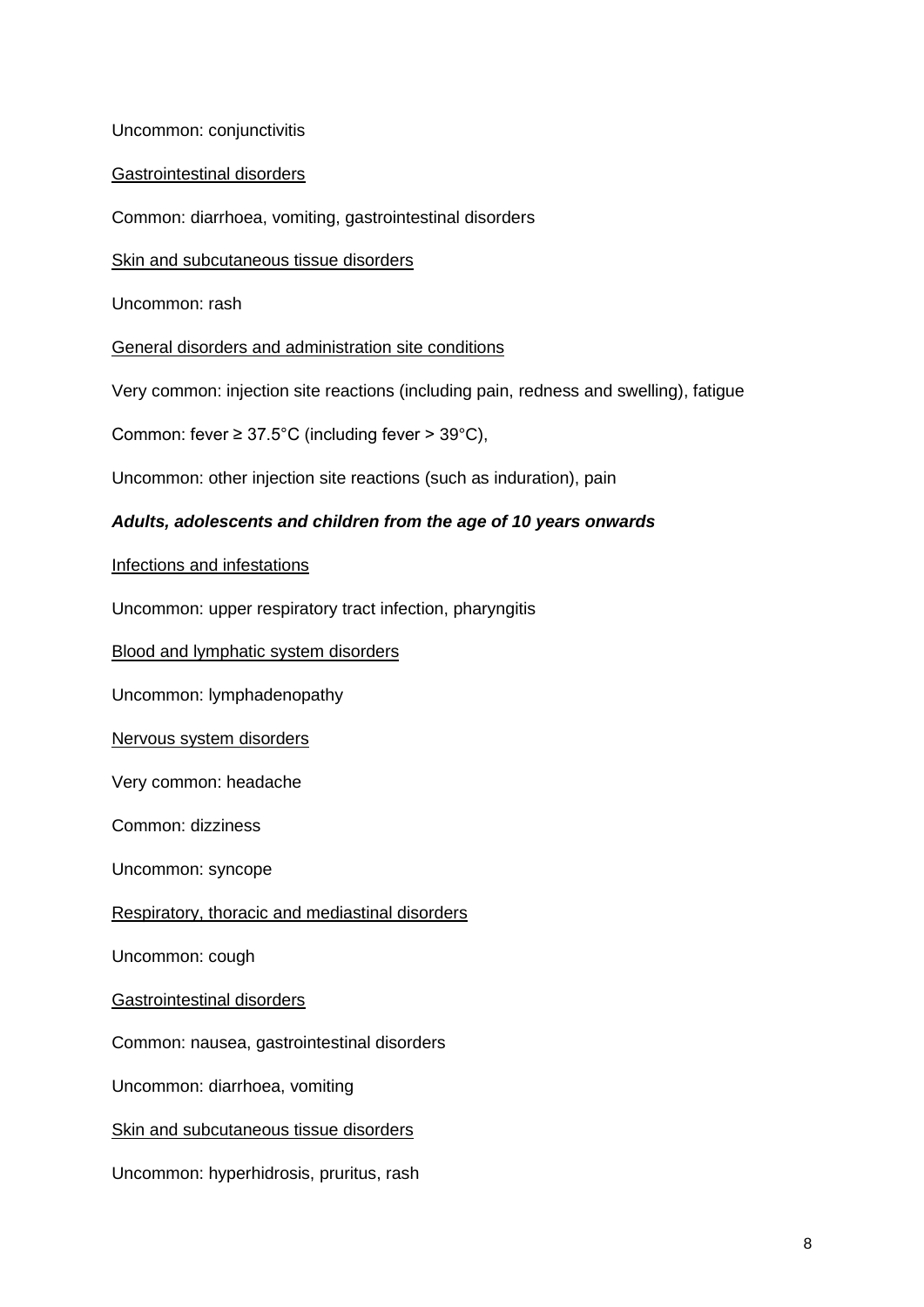Uncommon: conjunctivitis

Gastrointestinal disorders

Common: diarrhoea, vomiting, gastrointestinal disorders

Skin and subcutaneous tissue disorders

Uncommon: rash

General disorders and administration site conditions

Very common: injection site reactions (including pain, redness and swelling), fatigue

Common: fever  $\geq 37.5^{\circ}$ C (including fever  $> 39^{\circ}$ C),

Uncommon: other injection site reactions (such as induration), pain

#### *Adults, adolescents and children from the age of 10 years onwards*

Infections and infestations

Uncommon: upper respiratory tract infection, pharyngitis

Blood and lymphatic system disorders

Uncommon: lymphadenopathy

Nervous system disorders

Very common: headache

Common: dizziness

Uncommon: syncope

Respiratory, thoracic and mediastinal disorders

Uncommon: cough

Gastrointestinal disorders

Common: nausea, gastrointestinal disorders

Uncommon: diarrhoea, vomiting

Skin and subcutaneous tissue disorders

Uncommon: hyperhidrosis, pruritus, rash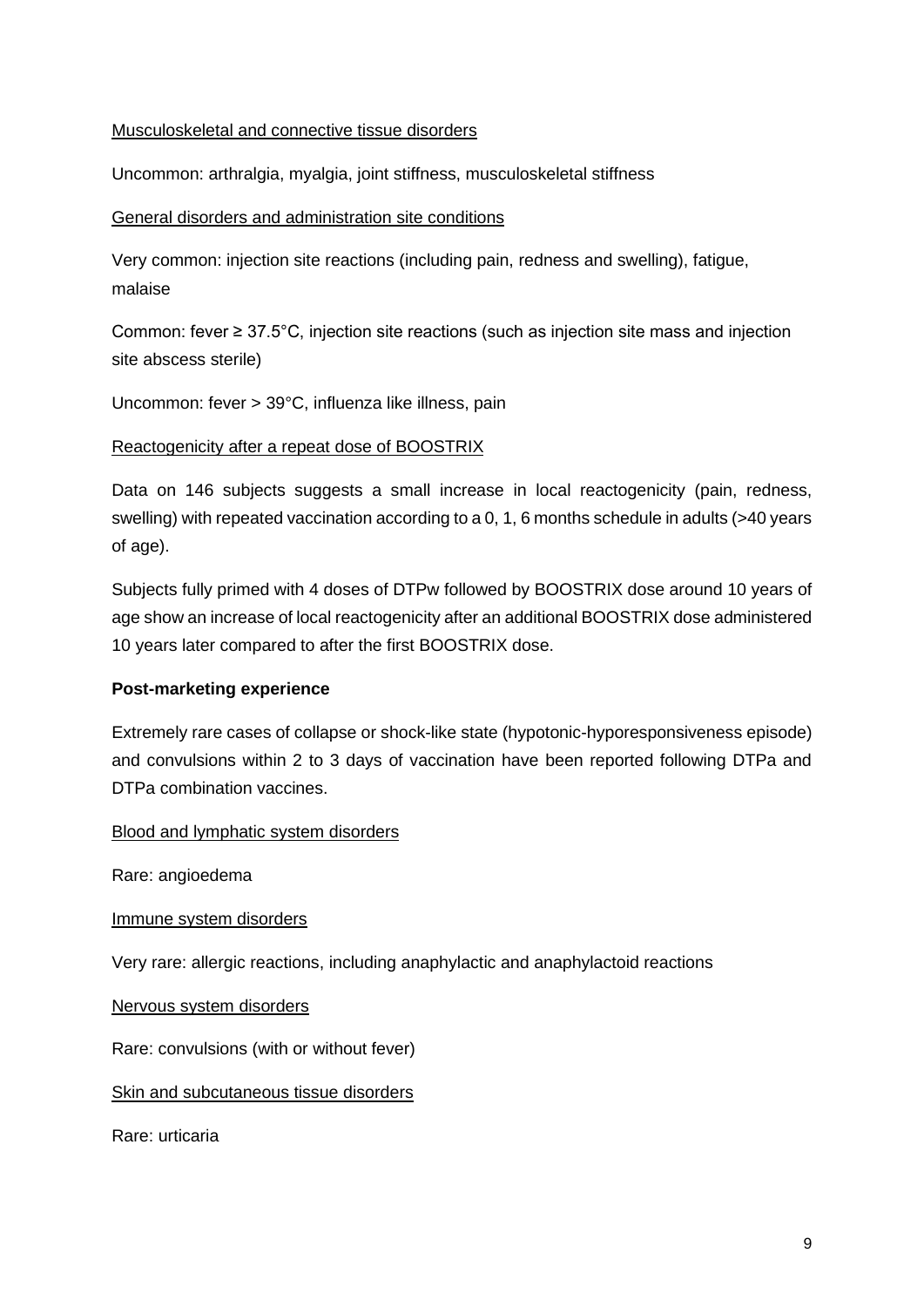#### Musculoskeletal and connective tissue disorders

Uncommon: arthralgia, myalgia, joint stiffness, musculoskeletal stiffness

#### General disorders and administration site conditions

Very common: injection site reactions (including pain, redness and swelling), fatigue, malaise

Common: fever ≥ 37.5°C, injection site reactions (such as injection site mass and injection site abscess sterile)

Uncommon: fever > 39°C, influenza like illness, pain

#### Reactogenicity after a repeat dose of BOOSTRIX

Data on 146 subjects suggests a small increase in local reactogenicity (pain, redness, swelling) with repeated vaccination according to a 0, 1, 6 months schedule in adults (>40 years of age).

Subjects fully primed with 4 doses of DTPw followed by BOOSTRIX dose around 10 years of age show an increase of local reactogenicity after an additional BOOSTRIX dose administered 10 years later compared to after the first BOOSTRIX dose.

#### **Post-marketing experience**

Extremely rare cases of collapse or shock-like state (hypotonic-hyporesponsiveness episode) and convulsions within 2 to 3 days of vaccination have been reported following DTPa and DTPa combination vaccines.

#### Blood and lymphatic system disorders

Rare: angioedema

Immune system disorders

Very rare: allergic reactions, including anaphylactic and anaphylactoid reactions

Nervous system disorders

Rare: convulsions (with or without fever)

#### **Skin and subcutaneous tissue disorders**

Rare: urticaria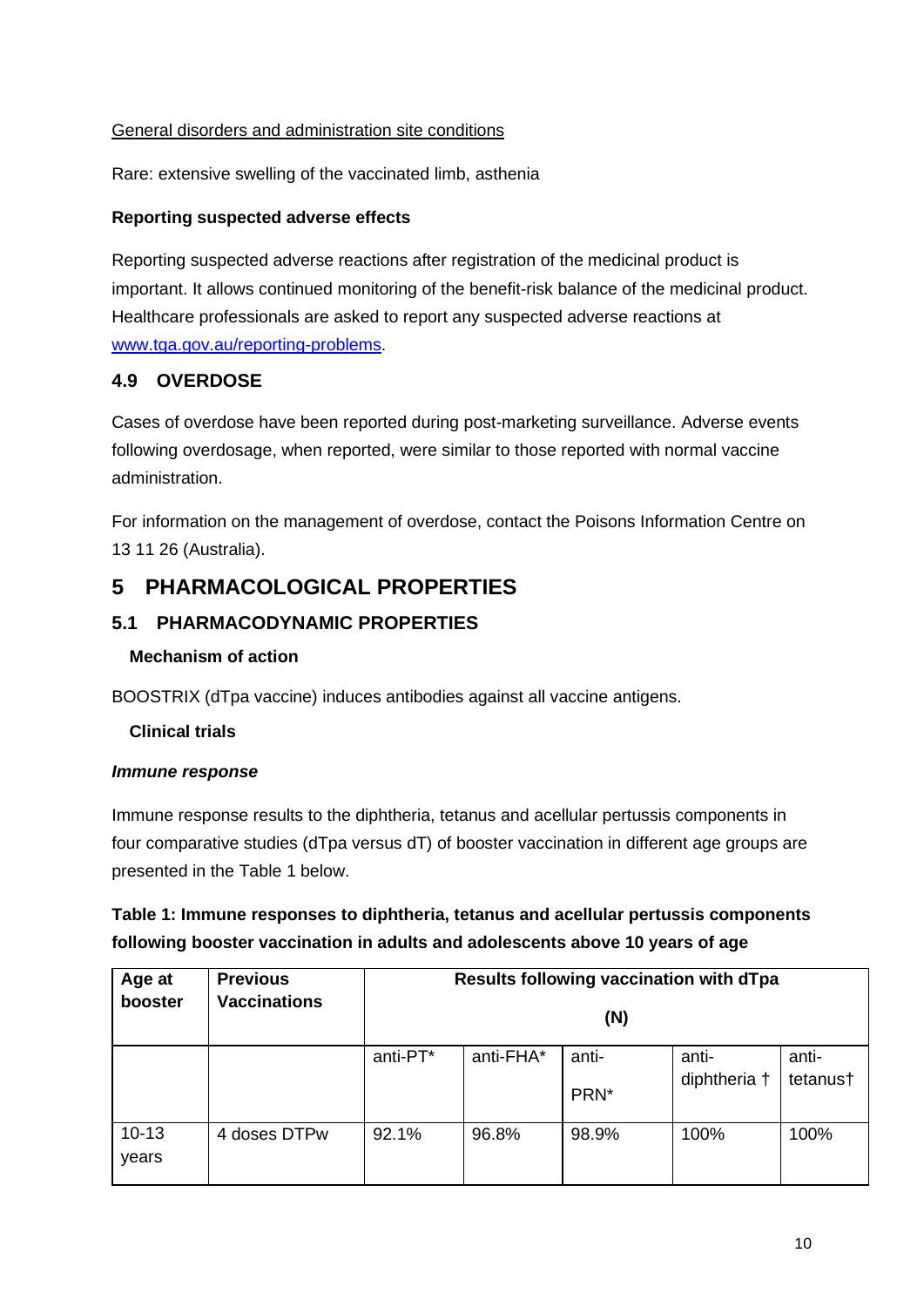### General disorders and administration site conditions

Rare: extensive swelling of the vaccinated limb, asthenia

#### **Reporting suspected adverse effects**

Reporting suspected adverse reactions after registration of the medicinal product is important. It allows continued monitoring of the benefit-risk balance of the medicinal product. Healthcare professionals are asked to report any suspected adverse reactions at [www.tga.gov.au/reporting-problems.](http://www.tga.gov.au/reporting-problems)

### **4.9 OVERDOSE**

Cases of overdose have been reported during post-marketing surveillance. Adverse events following overdosage, when reported, were similar to those reported with normal vaccine administration.

For information on the management of overdose, contact the Poisons Information Centre on 13 11 26 (Australia).

## **5 PHARMACOLOGICAL PROPERTIES**

### **5.1 PHARMACODYNAMIC PROPERTIES**

#### **Mechanism of action**

BOOSTRIX (dTpa vaccine) induces antibodies against all vaccine antigens.

#### **Clinical trials**

#### *Immune response*

Immune response results to the diphtheria, tetanus and acellular pertussis components in four comparative studies (dTpa versus dT) of booster vaccination in different age groups are presented in the Table 1 below.

## **Table 1: Immune responses to diphtheria, tetanus and acellular pertussis components following booster vaccination in adults and adolescents above 10 years of age**

| Age at    | <b>Previous</b>     | Results following vaccination with dTpa<br>(N) |           |       |              |          |  |
|-----------|---------------------|------------------------------------------------|-----------|-------|--------------|----------|--|
| booster   | <b>Vaccinations</b> |                                                |           |       |              |          |  |
|           |                     | anti-PT*                                       | anti-FHA* | anti- | anti-        | anti-    |  |
|           |                     |                                                |           | PRN*  | diphtheria † | tetanus† |  |
| $10 - 13$ | 4 doses DTPw        | 92.1%                                          | 96.8%     | 98.9% | 100%         | 100%     |  |
| years     |                     |                                                |           |       |              |          |  |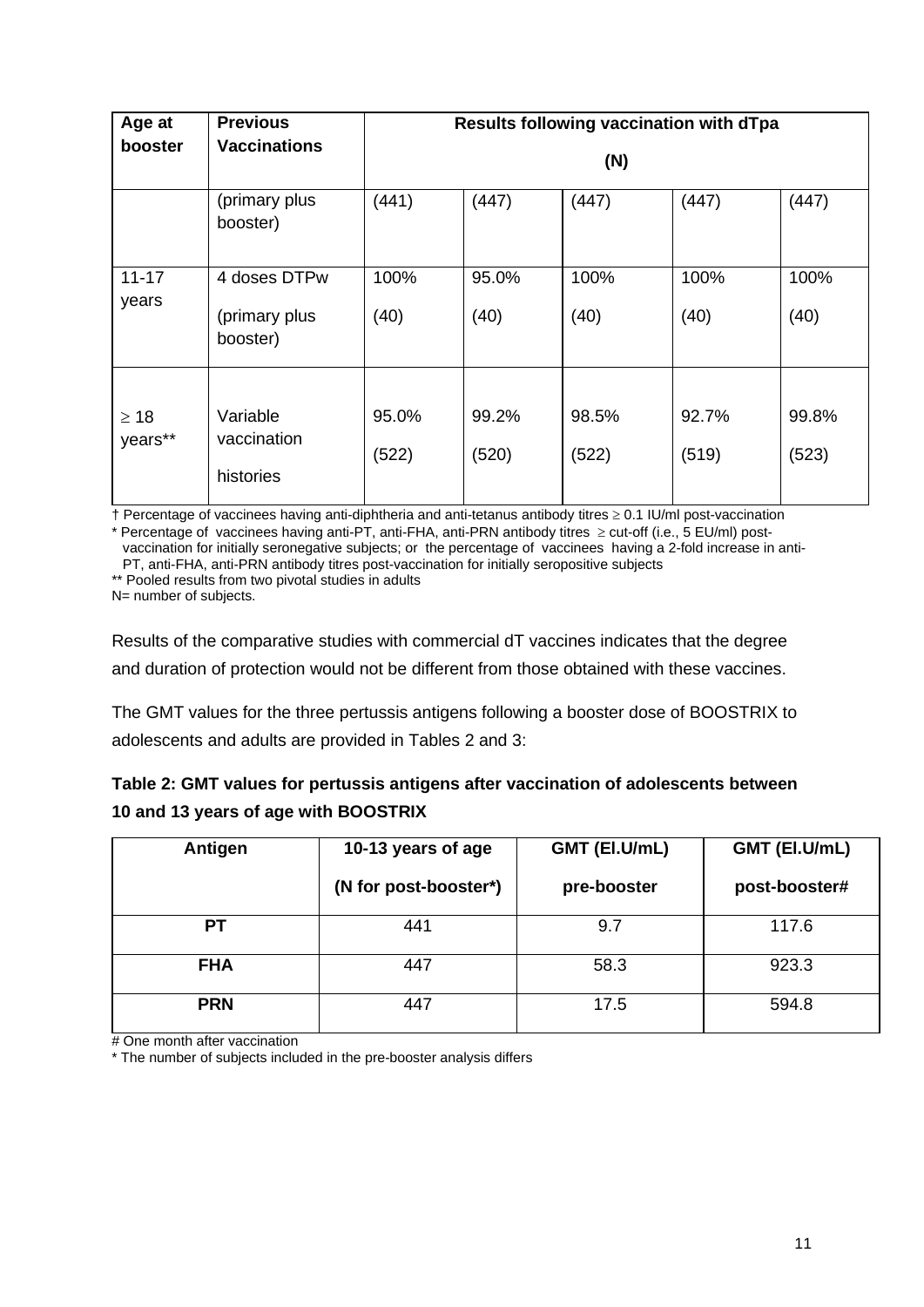| Age at               | <b>Previous</b>                           | Results following vaccination with dTpa |                |                |                |                |  |  |
|----------------------|-------------------------------------------|-----------------------------------------|----------------|----------------|----------------|----------------|--|--|
| booster              | <b>Vaccinations</b>                       | (N)                                     |                |                |                |                |  |  |
|                      | (primary plus<br>booster)                 | (441)                                   | (447)          | (447)          | (447)          | (447)          |  |  |
| $11 - 17$<br>years   | 4 doses DTPw<br>(primary plus<br>booster) | 100%<br>(40)                            | 95.0%<br>(40)  | 100%<br>(40)   | 100%<br>(40)   | 100%<br>(40)   |  |  |
| $\geq 18$<br>years** | Variable<br>vaccination<br>histories      | 95.0%<br>(522)                          | 99.2%<br>(520) | 98.5%<br>(522) | 92.7%<br>(519) | 99.8%<br>(523) |  |  |

† Percentage of vaccinees having anti-diphtheria and anti-tetanus antibody titres ≥ 0.1 IU/ml post-vaccination \* Percentage of vaccinees having anti-PT, anti-FHA, anti-PRN antibody titres ≥ cut-off (i.e., 5 EU/ml) postvaccination for initially seronegative subjects; or the percentage of vaccinees having a 2-fold increase in anti-

PT, anti-FHA, anti-PRN antibody titres post-vaccination for initially seropositive subjects

\*\* Pooled results from two pivotal studies in adults

N= number of subjects.

Results of the comparative studies with commercial dT vaccines indicates that the degree and duration of protection would not be different from those obtained with these vaccines.

The GMT values for the three pertussis antigens following a booster dose of BOOSTRIX to adolescents and adults are provided in Tables 2 and 3:

| Table 2: GMT values for pertussis antigens after vaccination of adolescents between |
|-------------------------------------------------------------------------------------|
| 10 and 13 years of age with BOOSTRIX                                                |

| Antigen    | 10-13 years of age    | GMT (EI.U/mL) | GMT (EI.U/mL) |  |
|------------|-----------------------|---------------|---------------|--|
|            | (N for post-booster*) | pre-booster   | post-booster# |  |
| РT         | 441                   | 9.7           | 117.6         |  |
| <b>FHA</b> | 447                   | 58.3          | 923.3         |  |
| <b>PRN</b> | 447                   | 17.5          | 594.8         |  |

# One month after vaccination

\* The number of subjects included in the pre-booster analysis differs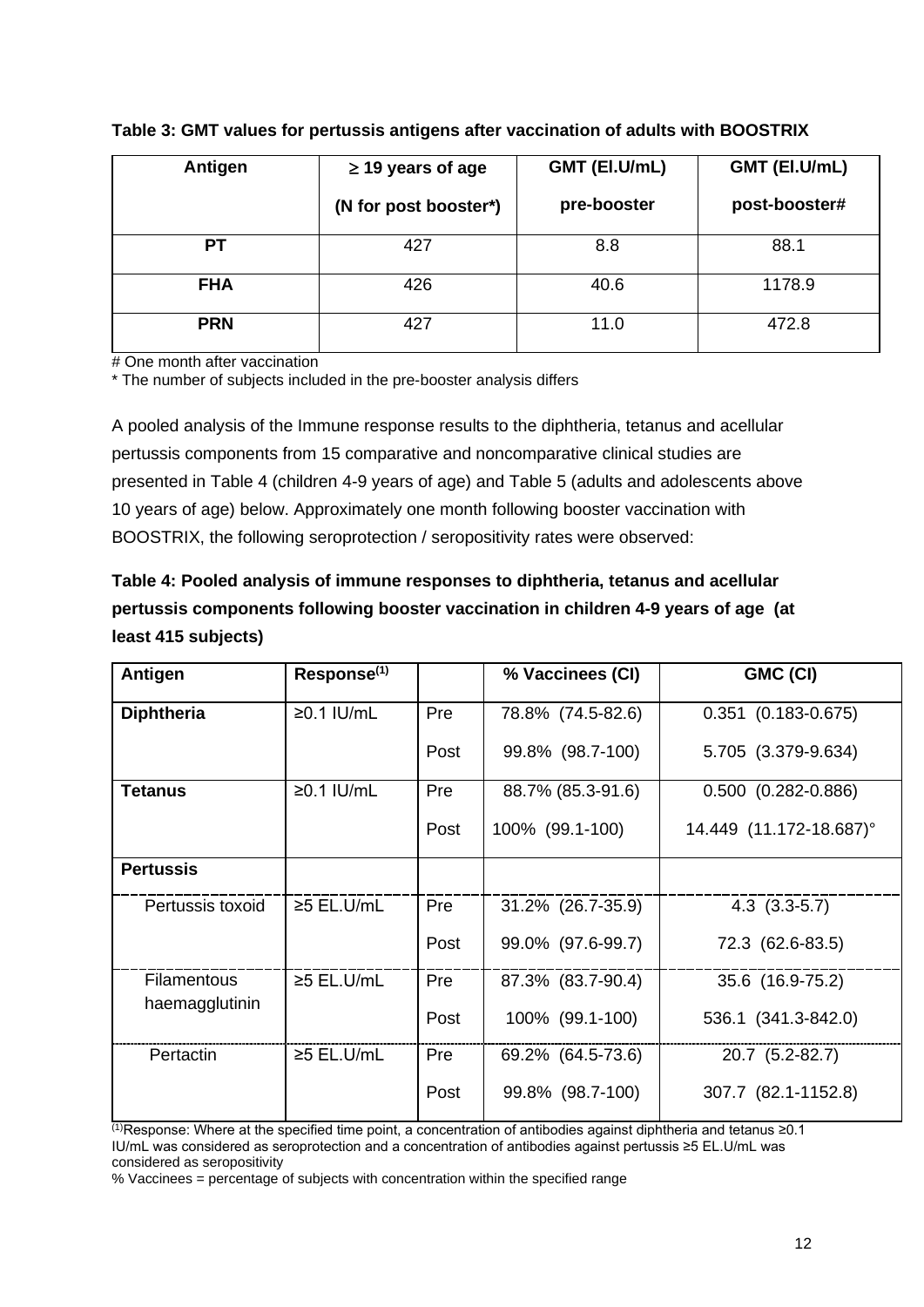| Antigen    | $\geq$ 19 years of age | GMT (EI.U/mL) | GMT (EI.U/mL) |
|------------|------------------------|---------------|---------------|
|            | (N for post booster*)  | pre-booster   | post-booster# |
| <b>PT</b>  | 427                    | 8.8           | 88.1          |
| <b>FHA</b> | 426                    | 40.6          | 1178.9        |
| <b>PRN</b> | 427                    | 11.0          | 472.8         |

#### **Table 3: GMT values for pertussis antigens after vaccination of adults with BOOSTRIX**

# One month after vaccination

\* The number of subjects included in the pre-booster analysis differs

A pooled analysis of the Immune response results to the diphtheria, tetanus and acellular pertussis components from 15 comparative and noncomparative clinical studies are presented in Table 4 (children 4-9 years of age) and Table 5 (adults and adolescents above 10 years of age) below. Approximately one month following booster vaccination with BOOSTRIX, the following seroprotection / seropositivity rates were observed:

| Table 4: Pooled analysis of immune responses to diphtheria, tetanus and acellular   |
|-------------------------------------------------------------------------------------|
| pertussis components following booster vaccination in children 4-9 years of age (at |
| least 415 subjects)                                                                 |

| Antigen            | Response <sup>(1)</sup> |      | % Vaccinees (CI)  | GMC (CI)                  |
|--------------------|-------------------------|------|-------------------|---------------------------|
| <b>Diphtheria</b>  | $≥0.1$ IU/mL            | Pre  | 78.8% (74.5-82.6) | $0.351$ $(0.183 - 0.675)$ |
|                    |                         | Post | 99.8% (98.7-100)  | 5.705 (3.379-9.634)       |
| <b>Tetanus</b>     | $≥0.1$ IU/mL            | Pre  | 88.7% (85.3-91.6) | $0.500$ $(0.282 - 0.886)$ |
|                    |                         | Post | 100% (99.1-100)   | 14.449 (11.172-18.687)°   |
| <b>Pertussis</b>   |                         |      |                   |                           |
| Pertussis toxoid   | $≥5$ EL.U/mL            | Pre  | 31.2% (26.7-35.9) | $4.3$ $(3.3-5.7)$         |
|                    |                         | Post | 99.0% (97.6-99.7) | 72.3 (62.6-83.5)          |
| <b>Filamentous</b> | $\geq$ 5 EL.U/mL        | Pre  | 87.3% (83.7-90.4) | 35.6 (16.9-75.2)          |
| haemagglutinin     |                         | Post | 100% (99.1-100)   | 536.1 (341.3-842.0)       |
| Pertactin          | $≥5$ EL.U/mL            | Pre  | 69.2% (64.5-73.6) | 20.7 (5.2-82.7)           |
|                    |                         | Post | 99.8% (98.7-100)  | 307.7 (82.1-1152.8)       |

(1)Response: Where at the specified time point, a concentration of antibodies against diphtheria and tetanus ≥0.1 IU/mL was considered as seroprotection and a concentration of antibodies against pertussis ≥5 EL.U/mL was considered as seropositivity

% Vaccinees = percentage of subjects with concentration within the specified range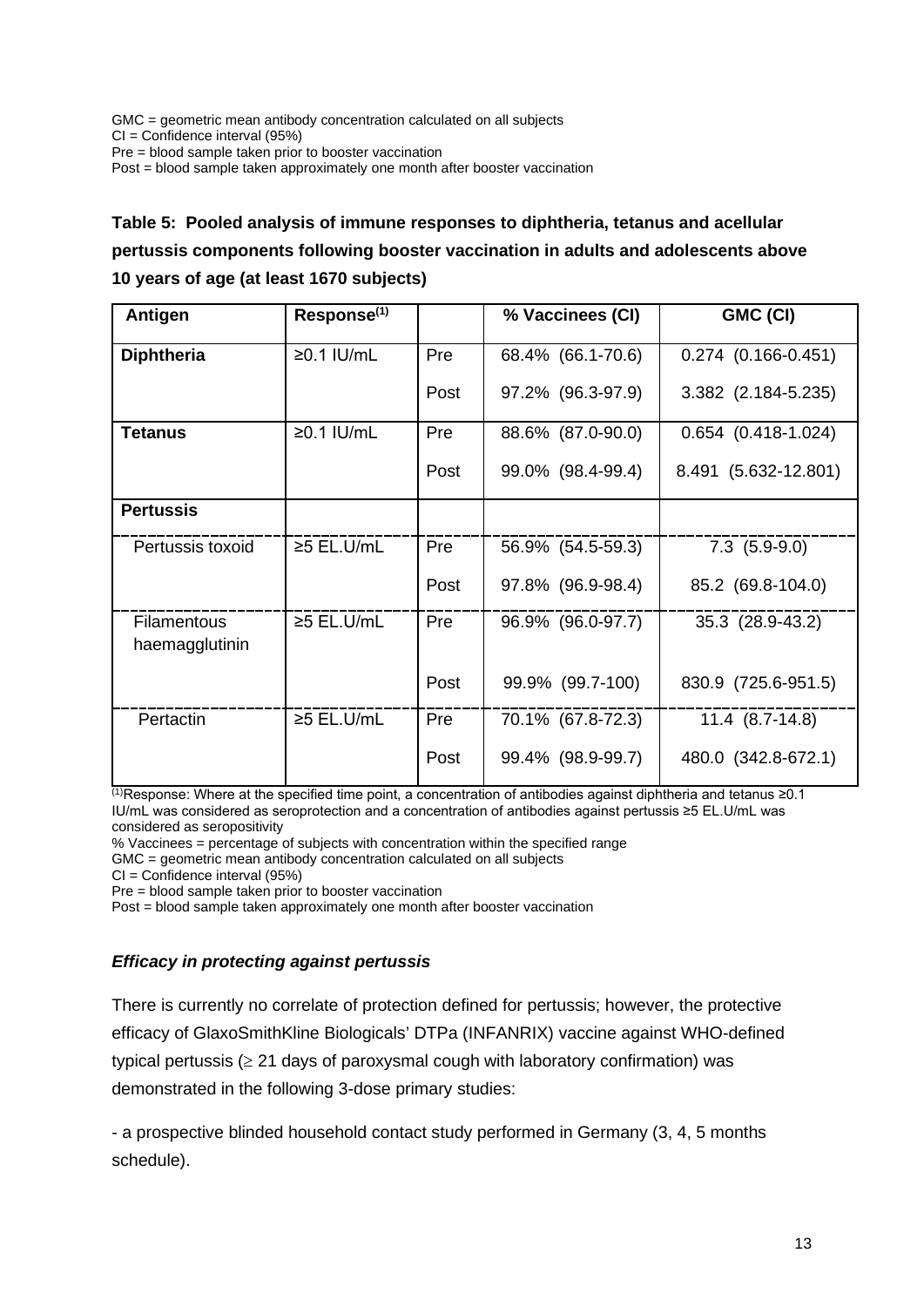GMC = geometric mean antibody concentration calculated on all subjects CI = Confidence interval (95%) Pre = blood sample taken prior to booster vaccination Post = blood sample taken approximately one month after booster vaccination

# **Table 5: Pooled analysis of immune responses to diphtheria, tetanus and acellular pertussis components following booster vaccination in adults and adolescents above 10 years of age (at least 1670 subjects)**

| Antigen                              | Response <sup>(1)</sup> |      | % Vaccinees (CI)  | GMC (CI)                |
|--------------------------------------|-------------------------|------|-------------------|-------------------------|
| <b>Diphtheria</b>                    | $≥0.1$ IU/mL            | Pre  | 68.4% (66.1-70.6) | $0.274$ (0.166-0.451)   |
|                                      |                         | Post | 97.2% (96.3-97.9) | 3.382 (2.184-5.235)     |
| <b>Tetanus</b>                       | $≥0.1$ IU/mL            | Pre  | 88.6% (87.0-90.0) | $0.654$ $(0.418-1.024)$ |
|                                      |                         | Post | 99.0% (98.4-99.4) | 8.491 (5.632-12.801)    |
| <b>Pertussis</b>                     |                         |      |                   |                         |
| Pertussis toxoid                     | $≥5$ EL.U/mL            | Pre  | 56.9% (54.5-59.3) | $7.3$ $(5.9-9.0)$       |
|                                      |                         | Post | 97.8% (96.9-98.4) | 85.2 (69.8-104.0)       |
| <b>Filamentous</b><br>haemagglutinin | $\geq$ 5 EL.U/mL        | Pre  | 96.9% (96.0-97.7) | 35.3 (28.9-43.2)        |
|                                      |                         | Post | 99.9% (99.7-100)  | 830.9 (725.6-951.5)     |
| Pertactin                            | $\geq$ 5 EL.U/mL        | Pre  | 70.1% (67.8-72.3) | $11.4$ $(8.7-14.8)$     |
|                                      |                         | Post | 99.4% (98.9-99.7) | 480.0 (342.8-672.1)     |

 $(1)$ Response: Where at the specified time point, a concentration of antibodies against diphtheria and tetanus ≥0.1 IU/mL was considered as seroprotection and a concentration of antibodies against pertussis ≥5 EL.U/mL was considered as seropositivity

% Vaccinees = percentage of subjects with concentration within the specified range

GMC = geometric mean antibody concentration calculated on all subjects

CI = Confidence interval (95%)

Pre = blood sample taken prior to booster vaccination

Post = blood sample taken approximately one month after booster vaccination

#### *Efficacy in protecting against pertussis*

There is currently no correlate of protection defined for pertussis; however, the protective efficacy of GlaxoSmithKline Biologicals' DTPa (INFANRIX) vaccine against WHO-defined typical pertussis ( $\geq$  21 days of paroxysmal cough with laboratory confirmation) was demonstrated in the following 3-dose primary studies:

- a prospective blinded household contact study performed in Germany (3, 4, 5 months schedule).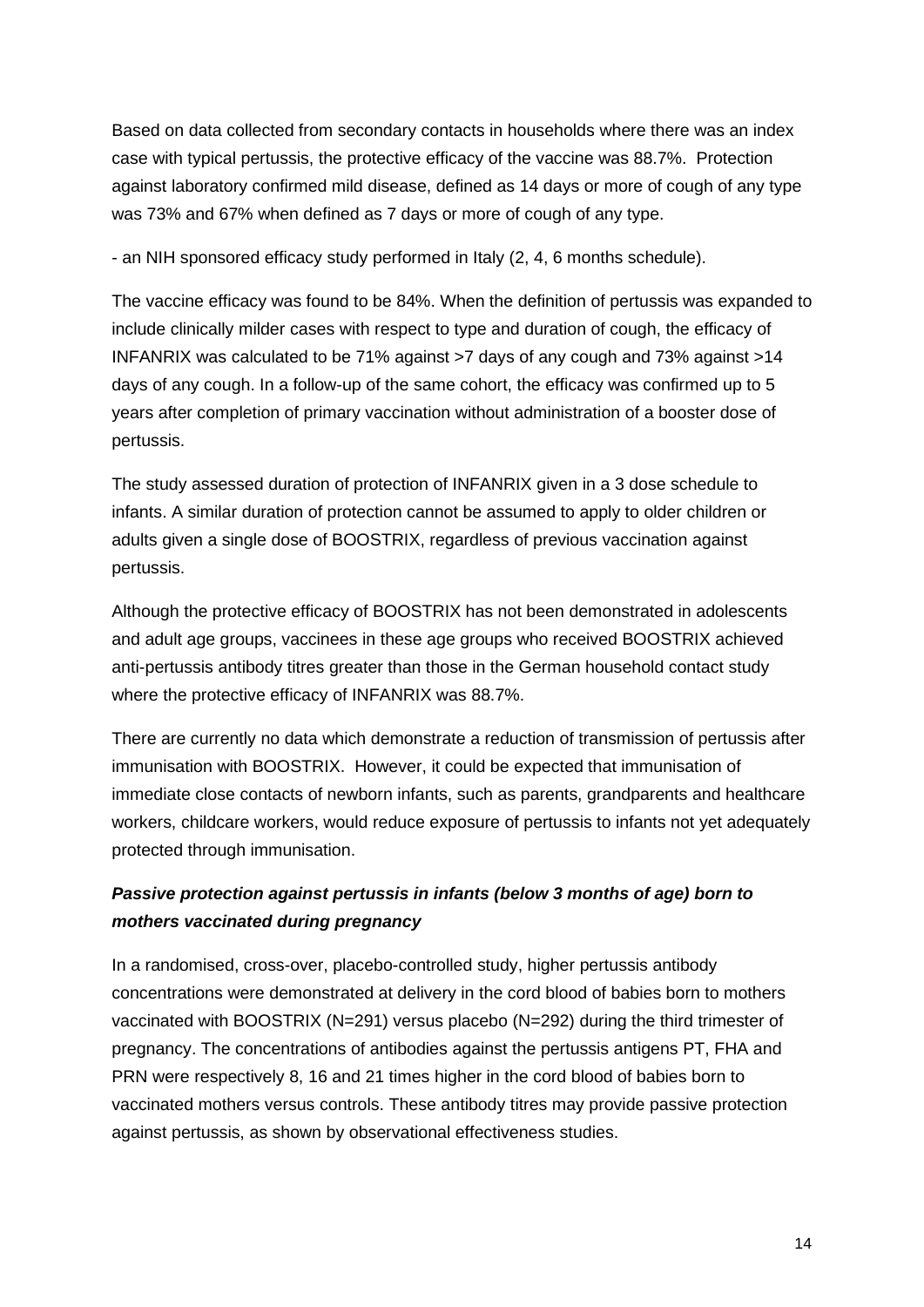Based on data collected from secondary contacts in households where there was an index case with typical pertussis, the protective efficacy of the vaccine was 88.7%. Protection against laboratory confirmed mild disease, defined as 14 days or more of cough of any type was 73% and 67% when defined as 7 days or more of cough of any type.

- an NIH sponsored efficacy study performed in Italy (2, 4, 6 months schedule).

The vaccine efficacy was found to be 84%. When the definition of pertussis was expanded to include clinically milder cases with respect to type and duration of cough, the efficacy of INFANRIX was calculated to be 71% against >7 days of any cough and 73% against >14 days of any cough. In a follow-up of the same cohort, the efficacy was confirmed up to 5 years after completion of primary vaccination without administration of a booster dose of pertussis.

The study assessed duration of protection of INFANRIX given in a 3 dose schedule to infants. A similar duration of protection cannot be assumed to apply to older children or adults given a single dose of BOOSTRIX, regardless of previous vaccination against pertussis.

Although the protective efficacy of BOOSTRIX has not been demonstrated in adolescents and adult age groups, vaccinees in these age groups who received BOOSTRIX achieved anti-pertussis antibody titres greater than those in the German household contact study where the protective efficacy of INFANRIX was 88.7%.

There are currently no data which demonstrate a reduction of transmission of pertussis after immunisation with BOOSTRIX. However, it could be expected that immunisation of immediate close contacts of newborn infants, such as parents, grandparents and healthcare workers, childcare workers, would reduce exposure of pertussis to infants not yet adequately protected through immunisation.

## *Passive protection against pertussis in infants (below 3 months of age) born to mothers vaccinated during pregnancy*

In a randomised, cross-over, placebo-controlled study, higher pertussis antibody concentrations were demonstrated at delivery in the cord blood of babies born to mothers vaccinated with BOOSTRIX (N=291) versus placebo (N=292) during the third trimester of pregnancy. The concentrations of antibodies against the pertussis antigens PT, FHA and PRN were respectively 8, 16 and 21 times higher in the cord blood of babies born to vaccinated mothers versus controls. These antibody titres may provide passive protection against pertussis, as shown by observational effectiveness studies.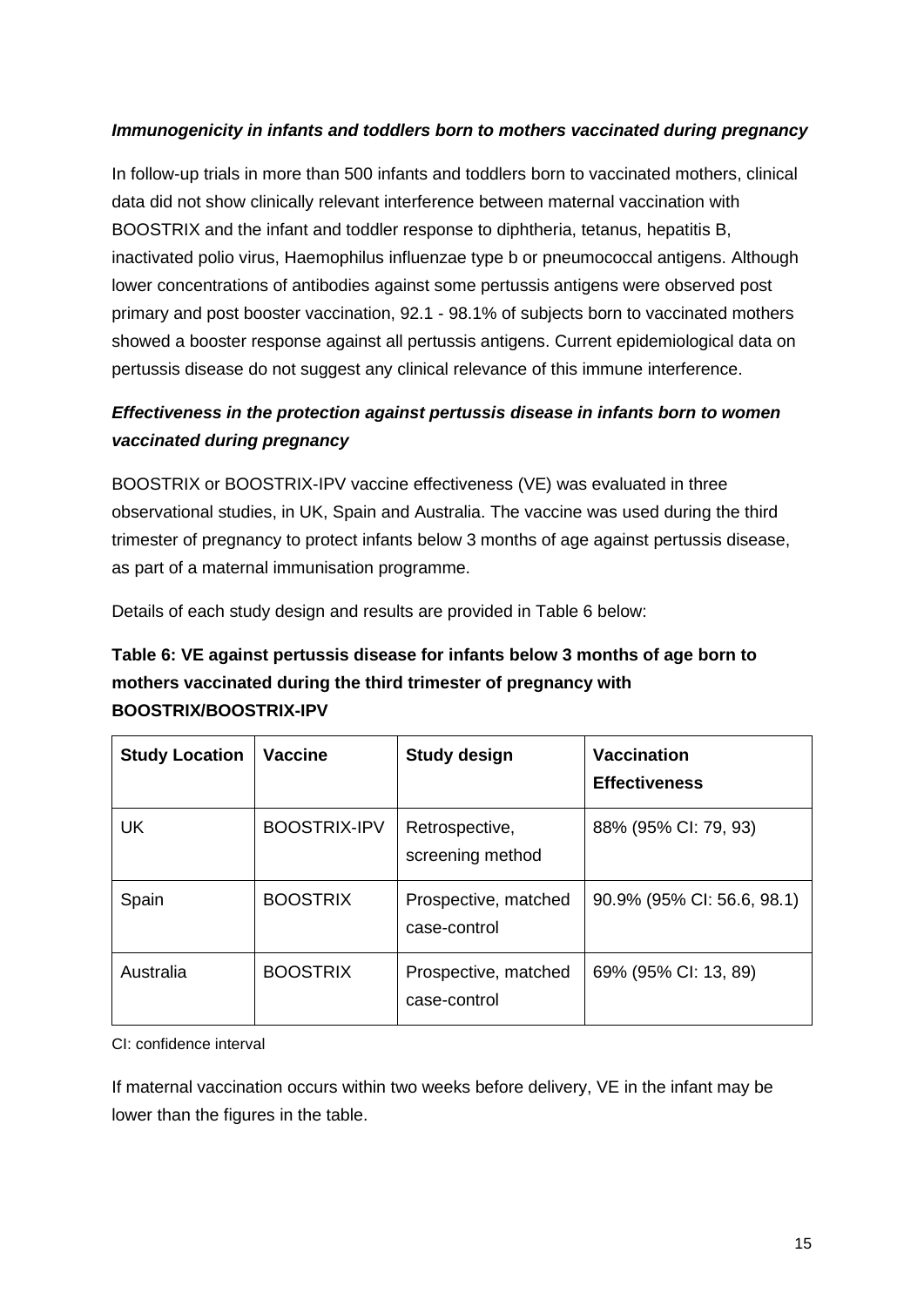### *Immunogenicity in infants and toddlers born to mothers vaccinated during pregnancy*

In follow-up trials in more than 500 infants and toddlers born to vaccinated mothers, clinical data did not show clinically relevant interference between maternal vaccination with BOOSTRIX and the infant and toddler response to diphtheria, tetanus, hepatitis B, inactivated polio virus, Haemophilus influenzae type b or pneumococcal antigens. Although lower concentrations of antibodies against some pertussis antigens were observed post primary and post booster vaccination, 92.1 - 98.1% of subjects born to vaccinated mothers showed a booster response against all pertussis antigens. Current epidemiological data on pertussis disease do not suggest any clinical relevance of this immune interference.

## *Effectiveness in the protection against pertussis disease in infants born to women vaccinated during pregnancy*

BOOSTRIX or BOOSTRIX-IPV vaccine effectiveness (VE) was evaluated in three observational studies, in UK, Spain and Australia. The vaccine was used during the third trimester of pregnancy to protect infants below 3 months of age against pertussis disease, as part of a maternal immunisation programme.

Details of each study design and results are provided in Table 6 below:

## **Table 6: VE against pertussis disease for infants below 3 months of age born to mothers vaccinated during the third trimester of pregnancy with BOOSTRIX/BOOSTRIX-IPV**

| <b>Study Location</b> | <b>Vaccine</b>      | <b>Study design</b>                  | <b>Vaccination</b><br><b>Effectiveness</b> |
|-----------------------|---------------------|--------------------------------------|--------------------------------------------|
| <b>UK</b>             | <b>BOOSTRIX-IPV</b> | Retrospective,<br>screening method   | 88% (95% CI: 79, 93)                       |
| Spain                 | <b>BOOSTRIX</b>     | Prospective, matched<br>case-control | 90.9% (95% CI: 56.6, 98.1)                 |
| Australia             | <b>BOOSTRIX</b>     | Prospective, matched<br>case-control | 69% (95% CI: 13, 89)                       |

CI: confidence interval

If maternal vaccination occurs within two weeks before delivery, VE in the infant may be lower than the figures in the table.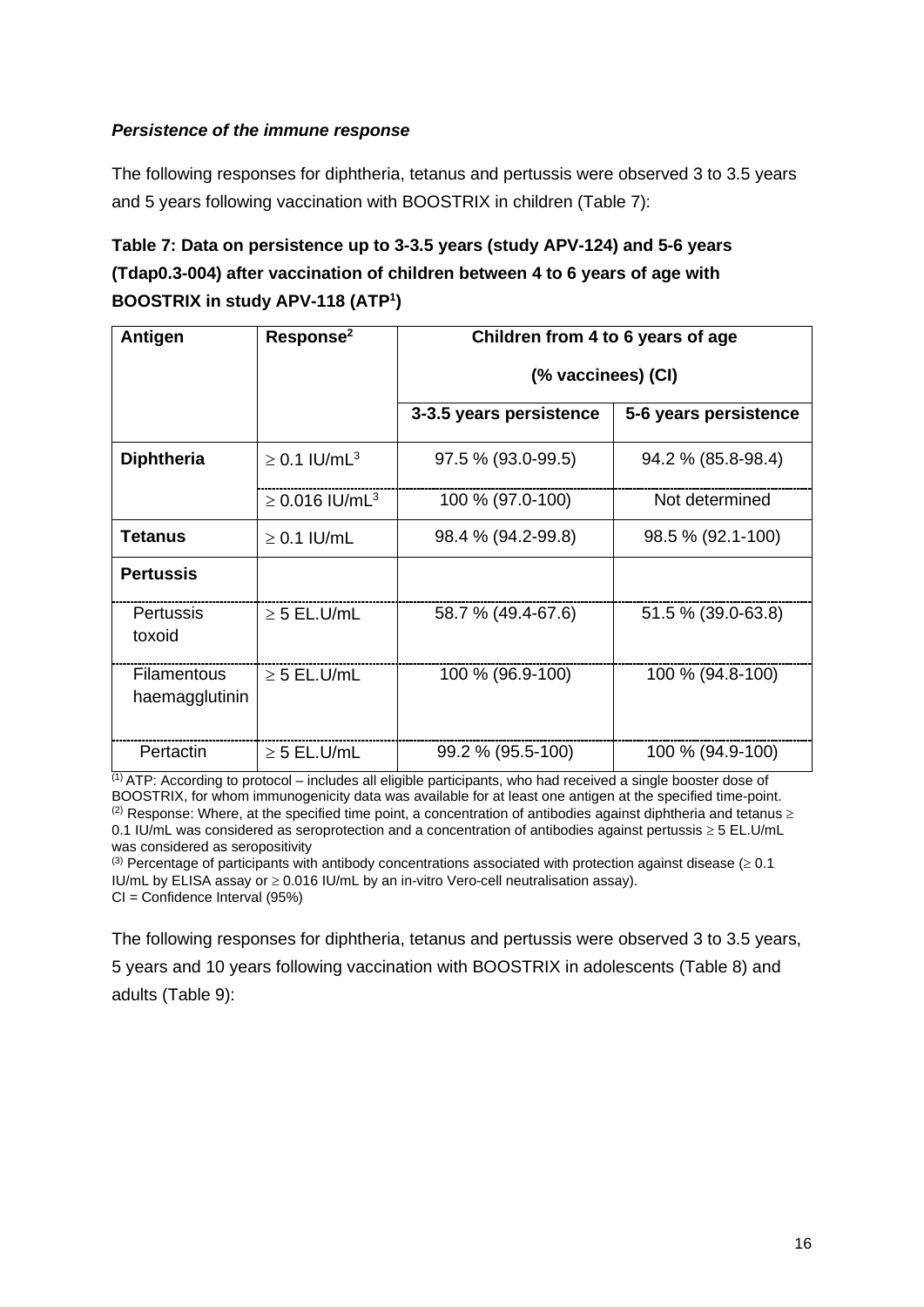### *Persistence of the immune response*

The following responses for diphtheria, tetanus and pertussis were observed 3 to 3.5 years and 5 years following vaccination with BOOSTRIX in children (Table 7):

# **Table 7: Data on persistence up to 3-3.5 years (study APV-124) and 5-6 years (Tdap0.3-004) after vaccination of children between 4 to 6 years of age with BOOSTRIX in study APV-118 (ATP1 )**

| Antigen                              | Response <sup>2</sup>           | Children from 4 to 6 years of age |                       |  |  |
|--------------------------------------|---------------------------------|-----------------------------------|-----------------------|--|--|
|                                      |                                 | (% vaccinees) (CI)                |                       |  |  |
|                                      |                                 | 3-3.5 years persistence           | 5-6 years persistence |  |  |
| <b>Diphtheria</b>                    | $\geq$ 0.1 IU/mL <sup>3</sup>   | 97.5 % (93.0-99.5)                | 94.2 % (85.8-98.4)    |  |  |
|                                      | $\geq 0.016$ IU/mL <sup>3</sup> | 100 % (97.0-100)                  | Not determined        |  |  |
| <b>Tetanus</b>                       | $\geq$ 0.1 IU/mL                | 98.4 % (94.2-99.8)                | 98.5 % (92.1-100)     |  |  |
| <b>Pertussis</b>                     |                                 |                                   |                       |  |  |
| <b>Pertussis</b><br>toxoid           | $\geq$ 5 EL.U/mL                | 58.7 % (49.4-67.6)                | 51.5 % (39.0-63.8)    |  |  |
| <b>Filamentous</b><br>haemagglutinin | $\geq$ 5 EL.U/mL                | 100 % (96.9-100)                  | 100 % (94.8-100)      |  |  |
| Pertactin                            | $\geq$ 5 EL.U/mL                | 99.2 % (95.5-100)                 | 100 % (94.9-100)      |  |  |

 $(1)$  ATP: According to protocol – includes all eligible participants, who had received a single booster dose of BOOSTRIX, for whom immunogenicity data was available for at least one antigen at the specified time-point. (2) Response: Where, at the specified time point, a concentration of antibodies against diphtheria and tetanus  $\geq$ 0.1 IU/mL was considered as seroprotection and a concentration of antibodies against pertussis ≥ 5 EL.U/mL was considered as seropositivity

(3) Percentage of participants with antibody concentrations associated with protection against disease ( $\geq 0.1$ ) IU/mL by ELISA assay or  $\geq 0.016$  IU/mL by an in-vitro Vero-cell neutralisation assay). CI = Confidence Interval (95%)

The following responses for diphtheria, tetanus and pertussis were observed 3 to 3.5 years, 5 years and 10 years following vaccination with BOOSTRIX in adolescents (Table 8) and adults (Table 9):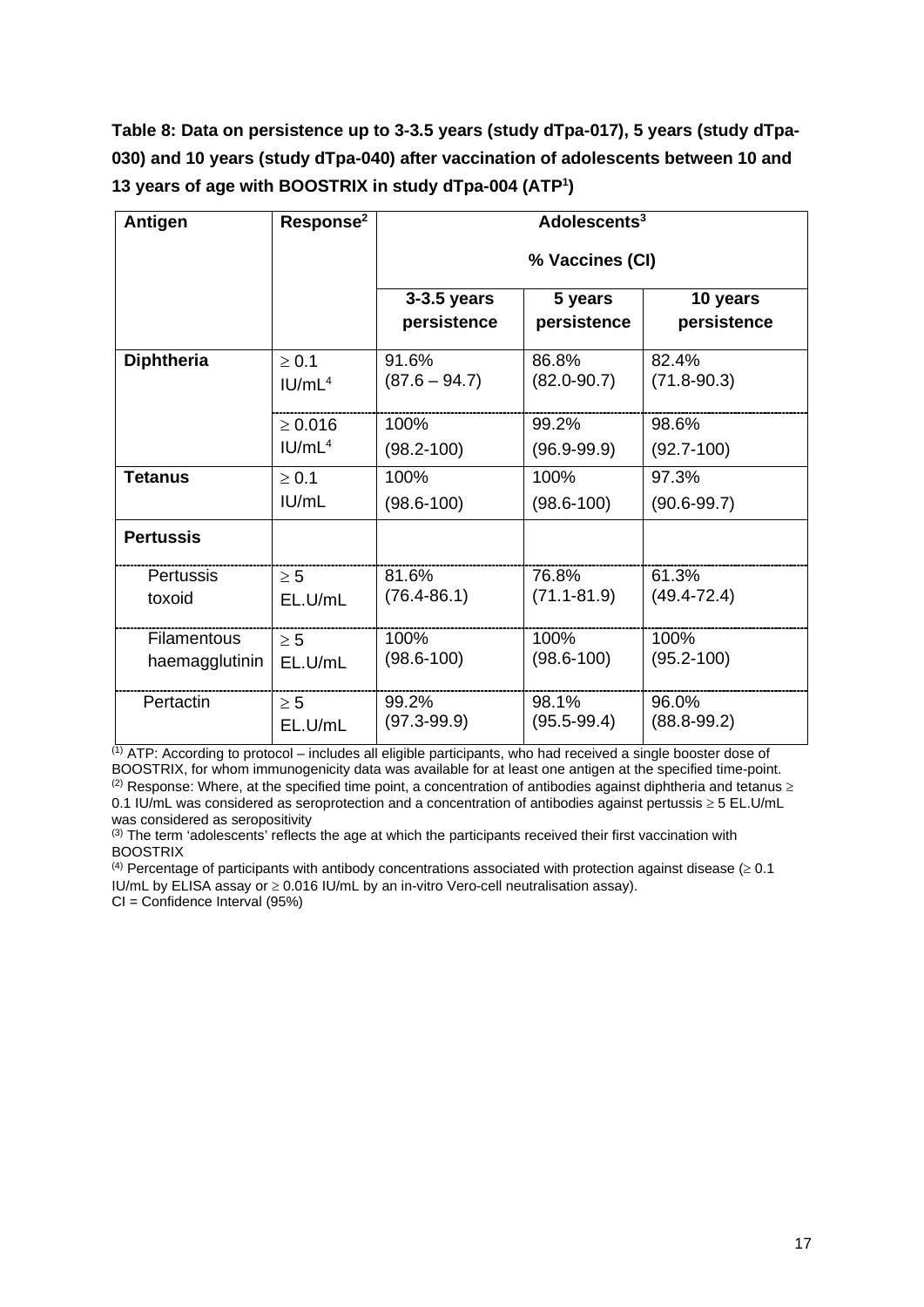**Table 8: Data on persistence up to 3-3.5 years (study dTpa-017), 5 years (study dTpa-030) and 10 years (study dTpa-040) after vaccination of adolescents between 10 and 13 years of age with BOOSTRIX in study dTpa-004 (ATP1 )**

| <b>Antigen</b>    | Response <sup>2</sup> | Adolescents <sup>3</sup>     |                        |                         |  |  |
|-------------------|-----------------------|------------------------------|------------------------|-------------------------|--|--|
|                   |                       | % Vaccines (CI)              |                        |                         |  |  |
|                   |                       | $3-3.5$ years<br>persistence | 5 years<br>persistence | 10 years<br>persistence |  |  |
| <b>Diphtheria</b> | $\geq 0.1$            | 91.6%                        | 86.8%                  | 82.4%                   |  |  |
|                   | IUI/mL <sup>4</sup>   | $(87.6 - 94.7)$              | $(82.0 - 90.7)$        | $(71.8 - 90.3)$         |  |  |
|                   | $\geq 0.016$          | 100%                         | 99.2%                  | 98.6%                   |  |  |
|                   | IUML <sup>4</sup>     | $(98.2 - 100)$               | $(96.9 - 99.9)$        | $(92.7 - 100)$          |  |  |
| <b>Tetanus</b>    | $\geq 0.1$            | 100%                         | 100%                   | 97.3%                   |  |  |
|                   | IUML                  | $(98.6 - 100)$               | $(98.6 - 100)$         | $(90.6 - 99.7)$         |  |  |
| <b>Pertussis</b>  |                       |                              |                        |                         |  |  |
| Pertussis         | $\geq 5$              | 81.6%                        | 76.8%                  | 61.3%                   |  |  |
| toxoid            | EL.U/mL               | $(76.4 - 86.1)$              | $(71.1 - 81.9)$        | $(49.4 - 72.4)$         |  |  |
| Filamentous       | $\geq 5$              | 100%                         | 100%                   | 100%                    |  |  |
| haemagglutinin    | EL.U/mL               | $(98.6 - 100)$               | $(98.6 - 100)$         | $(95.2 - 100)$          |  |  |
| Pertactin         | $\geq 5$              | 99.2%                        | 98.1%                  | 96.0%                   |  |  |
|                   | EL.U/mL               | (97.3-99.9)                  | $(95.5 - 99.4)$        | $(88.8 - 99.2)$         |  |  |

(1) ATP: According to protocol – includes all eligible participants, who had received a single booster dose of BOOSTRIX, for whom immunogenicity data was available for at least one antigen at the specified time-point. (2) Response: Where, at the specified time point, a concentration of antibodies against diphtheria and tetanus  $\geq$ 0.1 IU/mL was considered as seroprotection and a concentration of antibodies against pertussis ≥ 5 EL.U/mL

was considered as seropositivity (3) The term 'adolescents' reflects the age at which the participants received their first vaccination with **BOOSTRIX** 

<sup>(4)</sup> Percentage of participants with antibody concentrations associated with protection against disease ( $\geq 0.1$ ) IU/mL by ELISA assay or ≥ 0.016 IU/mL by an in-vitro Vero-cell neutralisation assay). CI = Confidence Interval (95%)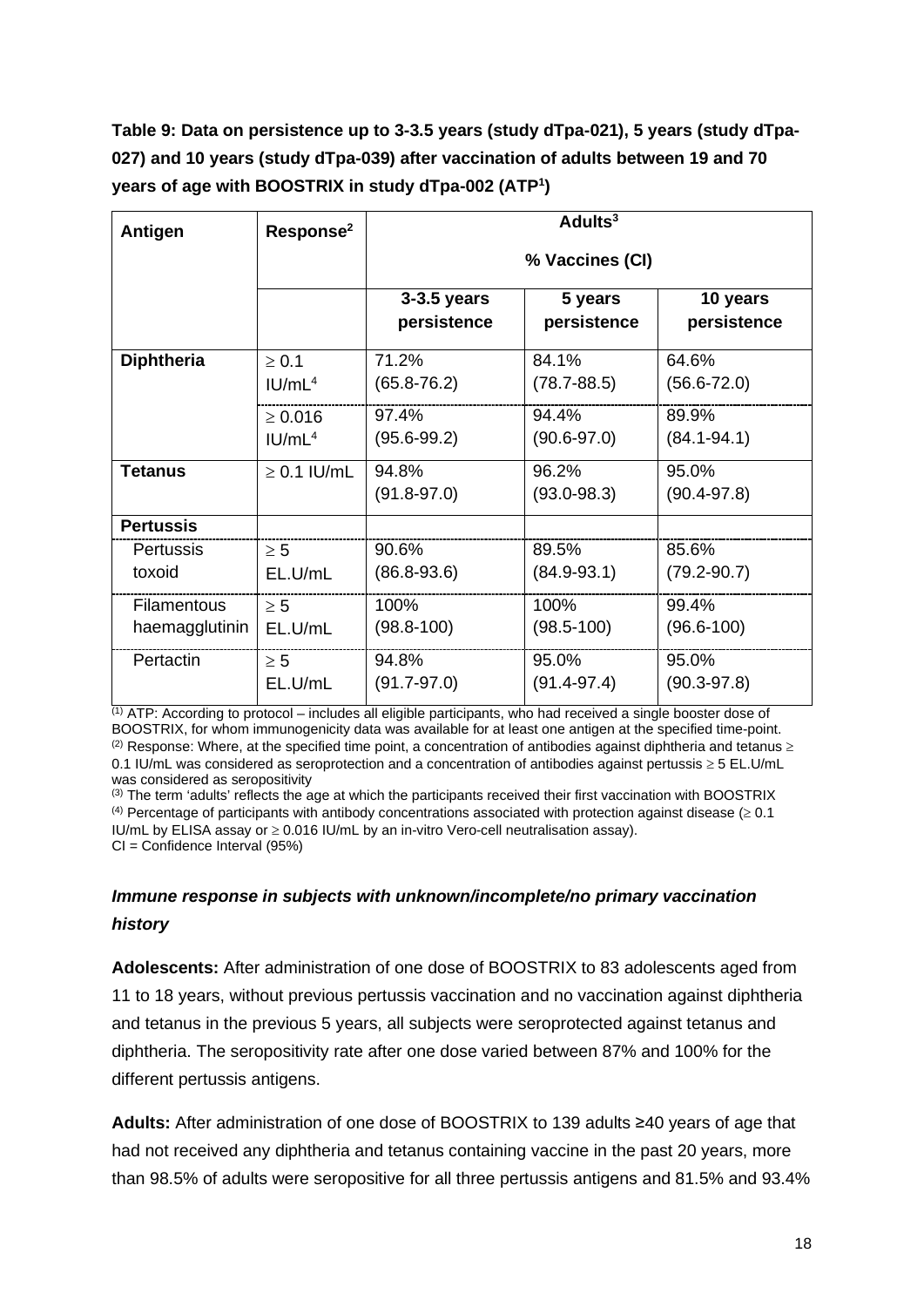# **Table 9: Data on persistence up to 3-3.5 years (study dTpa-021), 5 years (study dTpa-027) and 10 years (study dTpa-039) after vaccination of adults between 19 and 70 years of age with BOOSTRIX in study dTpa-002 (ATP1 )**

| <b>Antigen</b>     | Response <sup>2</sup> | $A$ dults <sup>3</sup>     |                        |                         |  |  |
|--------------------|-----------------------|----------------------------|------------------------|-------------------------|--|--|
|                    |                       |                            | % Vaccines (CI)        |                         |  |  |
|                    |                       | 3-3.5 years<br>persistence | 5 years<br>persistence | 10 years<br>persistence |  |  |
| <b>Diphtheria</b>  | $\geq 0.1$            | 71.2%                      | 84.1%                  | 64.6%                   |  |  |
|                    | IUI/mL <sup>4</sup>   | $(65.8 - 76.2)$            | $(78.7 - 88.5)$        | $(56.6 - 72.0)$         |  |  |
|                    | $\geq 0.016$          | 97.4%                      | 94.4%                  | 89.9%                   |  |  |
|                    | IUI/mL <sup>4</sup>   | $(95.6 - 99.2)$            | $(90.6 - 97.0)$        | $(84.1 - 94.1)$         |  |  |
| Tetanus            | $\geq$ 0.1 IU/mL      | 94.8%                      | 96.2%                  | 95.0%                   |  |  |
|                    |                       | $(91.8 - 97.0)$            | $(93.0 - 98.3)$        | $(90.4 - 97.8)$         |  |  |
| <b>Pertussis</b>   |                       |                            |                        |                         |  |  |
| <b>Pertussis</b>   | $\geq 5$              | 90.6%                      | 89.5%                  | 85.6%                   |  |  |
| toxoid             | EL.U/mL               | $(86.8 - 93.6)$            | $(84.9 - 93.1)$        | $(79.2 - 90.7)$         |  |  |
| <b>Filamentous</b> | $\geq 5$              | 100%                       | 100%                   | 99.4%                   |  |  |
| haemagglutinin     | EL.U/mL               | $(98.8 - 100)$             | $(98.5 - 100)$         | $(96.6 - 100)$          |  |  |
| Pertactin          | $\geq 5$              | 94.8%                      | 95.0%                  | 95.0%                   |  |  |
|                    | EL.U/mL               | $(91.7 - 97.0)$            | $(91.4 - 97.4)$        | $(90.3 - 97.8)$         |  |  |

 $(1)$  ATP: According to protocol – includes all eligible participants, who had received a single booster dose of BOOSTRIX, for whom immunogenicity data was available for at least one antigen at the specified time-point. (2) Response: Where, at the specified time point, a concentration of antibodies against diphtheria and tetanus  $\geq$ 0.1 IU/mL was considered as seroprotection and a concentration of antibodies against pertussis ≥ 5 EL.U/mL was considered as seropositivity

(3) The term 'adults' reflects the age at which the participants received their first vaccination with BOOSTRIX <sup>(4)</sup> Percentage of participants with antibody concentrations associated with protection against disease ( $\geq 0.1$ ) IU/mL by ELISA assay or ≥ 0.016 IU/mL by an in-vitro Vero-cell neutralisation assay). CI = Confidence Interval (95%)

## *Immune response in subjects with unknown/incomplete/no primary vaccination history*

**Adolescents:** After administration of one dose of BOOSTRIX to 83 adolescents aged from 11 to 18 years, without previous pertussis vaccination and no vaccination against diphtheria and tetanus in the previous 5 years, all subjects were seroprotected against tetanus and diphtheria. The seropositivity rate after one dose varied between 87% and 100% for the different pertussis antigens.

**Adults:** After administration of one dose of BOOSTRIX to 139 adults ≥40 years of age that had not received any diphtheria and tetanus containing vaccine in the past 20 years, more than 98.5% of adults were seropositive for all three pertussis antigens and 81.5% and 93.4%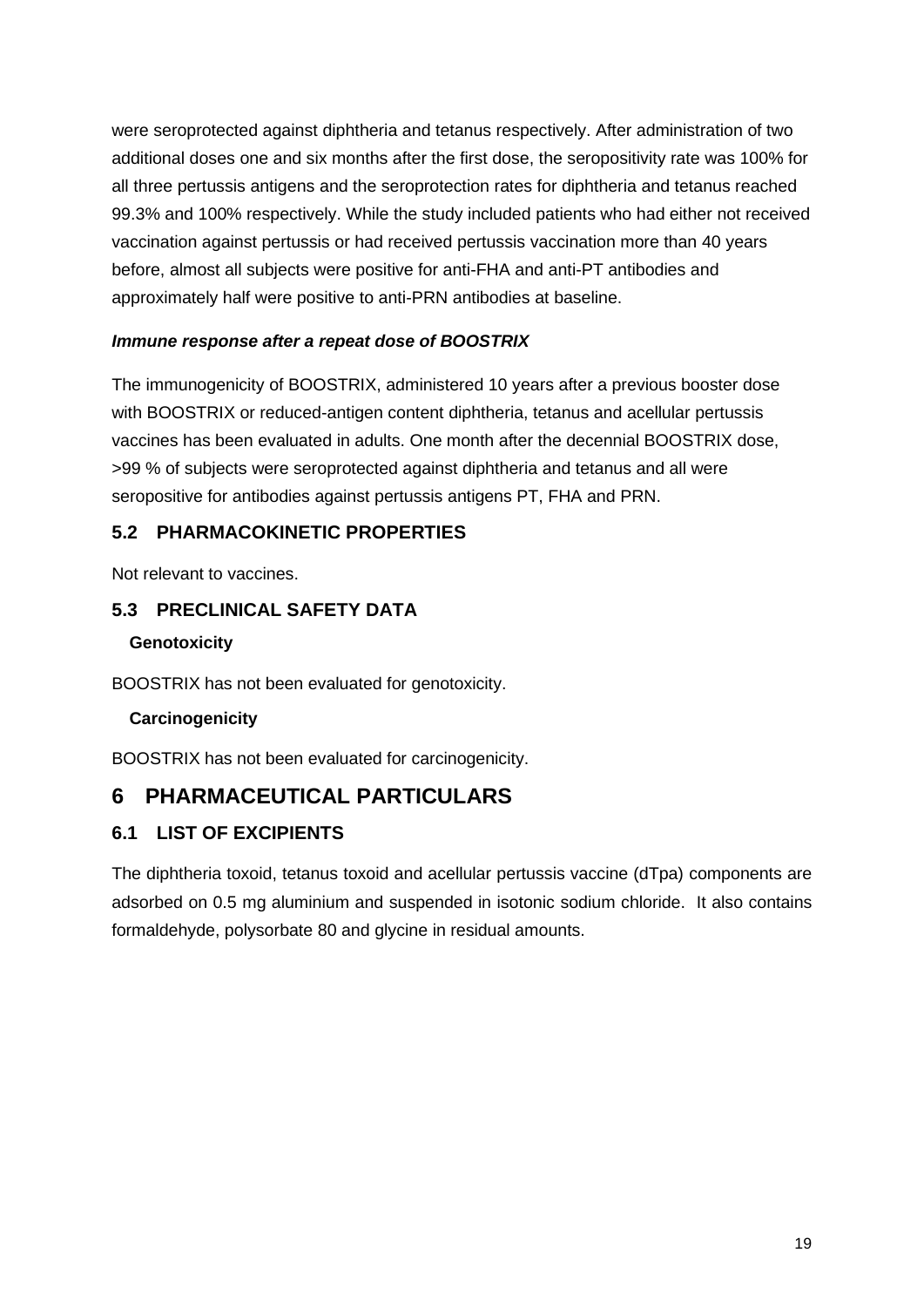were seroprotected against diphtheria and tetanus respectively. After administration of two additional doses one and six months after the first dose, the seropositivity rate was 100% for all three pertussis antigens and the seroprotection rates for diphtheria and tetanus reached 99.3% and 100% respectively. While the study included patients who had either not received vaccination against pertussis or had received pertussis vaccination more than 40 years before, almost all subjects were positive for anti-FHA and anti-PT antibodies and approximately half were positive to anti-PRN antibodies at baseline.

## *Immune response after a repeat dose of BOOSTRIX*

The immunogenicity of BOOSTRIX, administered 10 years after a previous booster dose with BOOSTRIX or reduced-antigen content diphtheria, tetanus and acellular pertussis vaccines has been evaluated in adults. One month after the decennial BOOSTRIX dose, >99 % of subjects were seroprotected against diphtheria and tetanus and all were seropositive for antibodies against pertussis antigens PT, FHA and PRN.

## **5.2 PHARMACOKINETIC PROPERTIES**

Not relevant to vaccines.

## **5.3 PRECLINICAL SAFETY DATA**

#### **Genotoxicity**

BOOSTRIX has not been evaluated for genotoxicity.

#### **Carcinogenicity**

BOOSTRIX has not been evaluated for carcinogenicity.

## **6 PHARMACEUTICAL PARTICULARS**

## **6.1 LIST OF EXCIPIENTS**

The diphtheria toxoid, tetanus toxoid and acellular pertussis vaccine (dTpa) components are adsorbed on 0.5 mg aluminium and suspended in isotonic sodium chloride. It also contains formaldehyde, polysorbate 80 and glycine in residual amounts.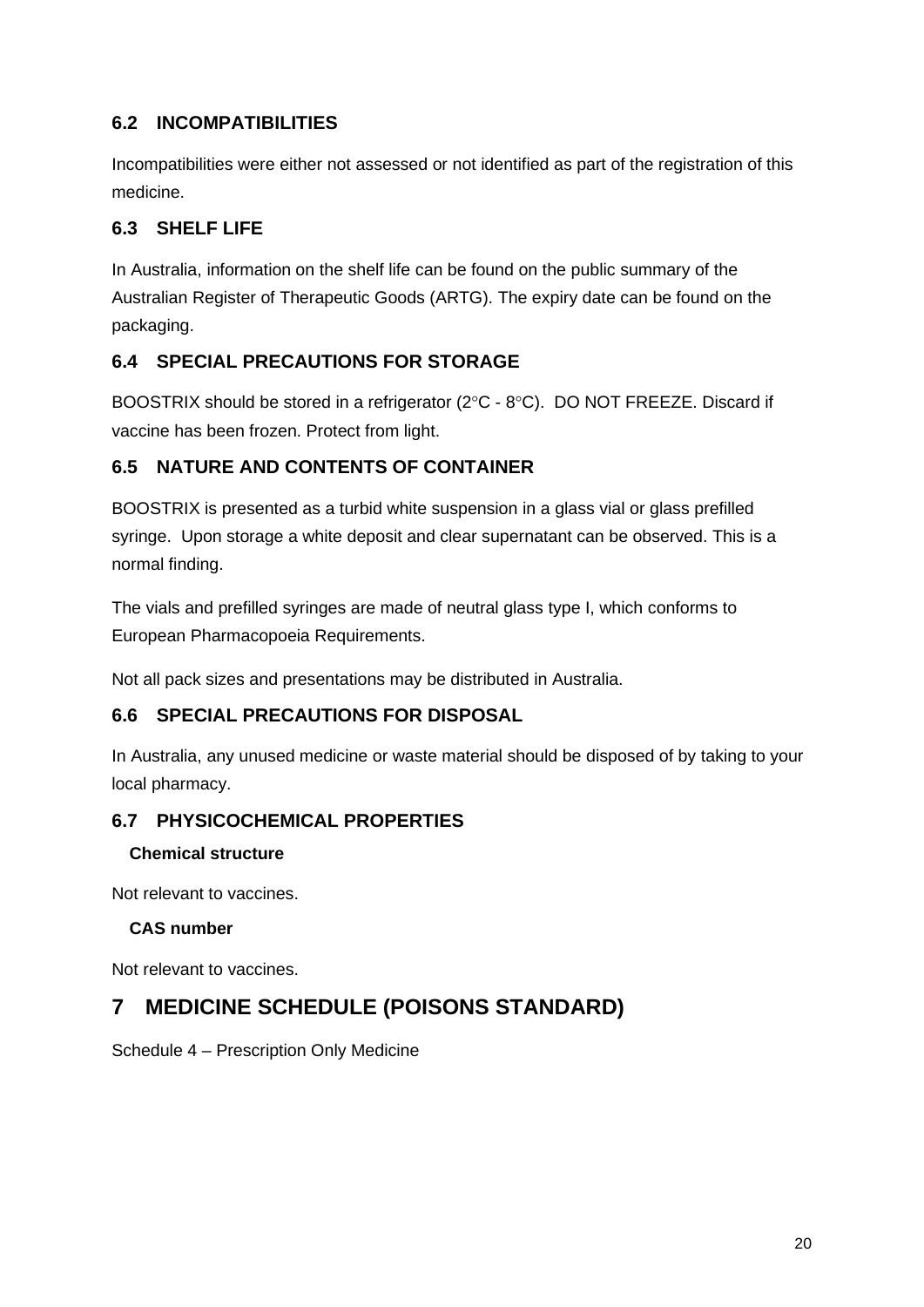## **6.2 INCOMPATIBILITIES**

Incompatibilities were either not assessed or not identified as part of the registration of this medicine.

## **6.3 SHELF LIFE**

In Australia, information on the shelf life can be found on the public summary of the Australian Register of Therapeutic Goods (ARTG). The expiry date can be found on the packaging.

## **6.4 SPECIAL PRECAUTIONS FOR STORAGE**

BOOSTRIX should be stored in a refrigerator (2°C - 8°C). DO NOT FREEZE. Discard if vaccine has been frozen. Protect from light.

## **6.5 NATURE AND CONTENTS OF CONTAINER**

BOOSTRIX is presented as a turbid white suspension in a glass vial or glass prefilled syringe. Upon storage a white deposit and clear supernatant can be observed. This is a normal finding.

The vials and prefilled syringes are made of neutral glass type I, which conforms to European Pharmacopoeia Requirements.

Not all pack sizes and presentations may be distributed in Australia.

## **6.6 SPECIAL PRECAUTIONS FOR DISPOSAL**

In Australia, any unused medicine or waste material should be disposed of by taking to your local pharmacy.

## **6.7 PHYSICOCHEMICAL PROPERTIES**

#### **Chemical structure**

Not relevant to vaccines.

## **CAS number**

Not relevant to vaccines.

# **7 MEDICINE SCHEDULE (POISONS STANDARD)**

Schedule 4 – Prescription Only Medicine